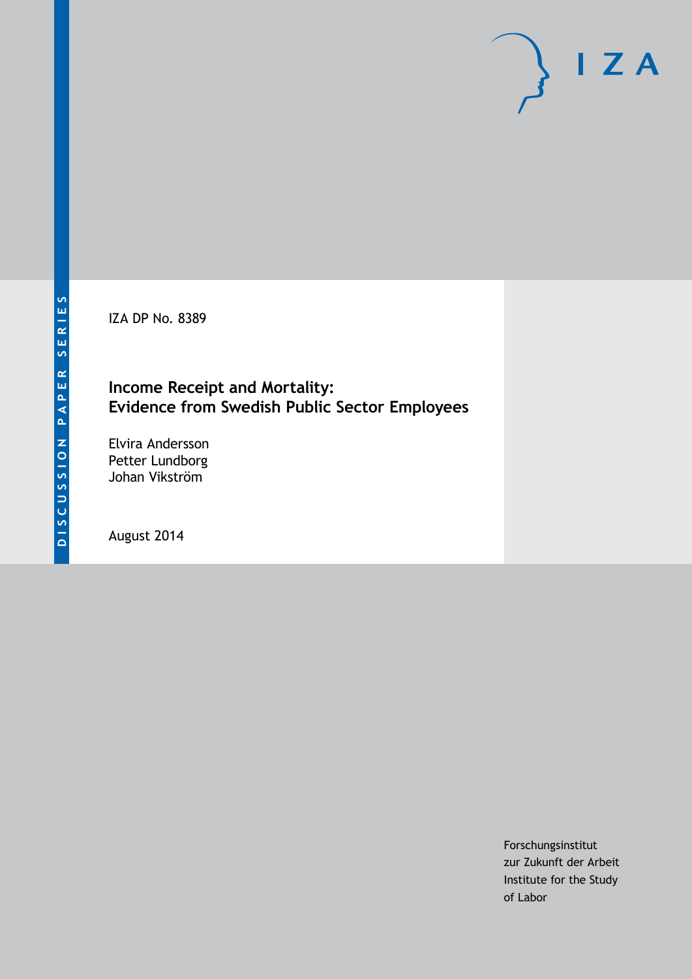IZA DP No. 8389

### **Income Receipt and Mortality: Evidence from Swedish Public Sector Employees**

Elvira Andersson Petter Lundborg Johan Vikström

August 2014

Forschungsinstitut zur Zukunft der Arbeit Institute for the Study of Labor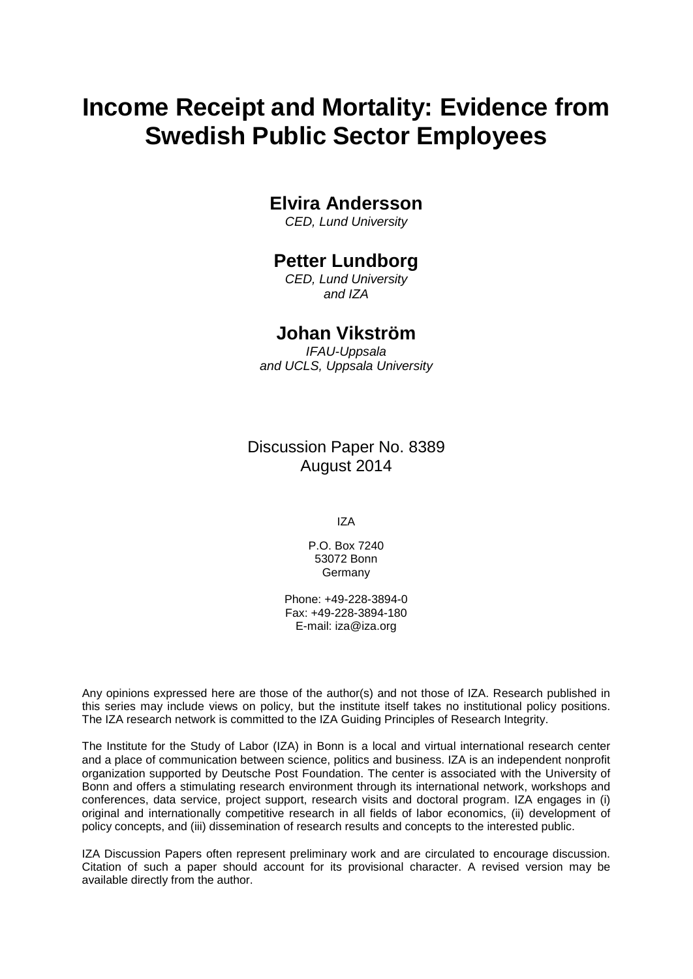# **Income Receipt and Mortality: Evidence from Swedish Public Sector Employees**

### **Elvira Andersson**

*CED, Lund University*

### **Petter Lundborg**

*CED, Lund University and IZA*

### **Johan Vikström**

*IFAU-Uppsala and UCLS, Uppsala University*

Discussion Paper No. 8389 August 2014

IZA

P.O. Box 7240 53072 Bonn Germany

Phone: +49-228-3894-0 Fax: +49-228-3894-180 E-mail: [iza@iza.org](mailto:iza@iza.org)

Any opinions expressed here are those of the author(s) and not those of IZA. Research published in this series may include views on policy, but the institute itself takes no institutional policy positions. The IZA research network is committed to the IZA Guiding Principles of Research Integrity.

The Institute for the Study of Labor (IZA) in Bonn is a local and virtual international research center and a place of communication between science, politics and business. IZA is an independent nonprofit organization supported by Deutsche Post Foundation. The center is associated with the University of Bonn and offers a stimulating research environment through its international network, workshops and conferences, data service, project support, research visits and doctoral program. IZA engages in (i) original and internationally competitive research in all fields of labor economics, (ii) development of policy concepts, and (iii) dissemination of research results and concepts to the interested public.

IZA Discussion Papers often represent preliminary work and are circulated to encourage discussion. Citation of such a paper should account for its provisional character. A revised version may be available directly from the author.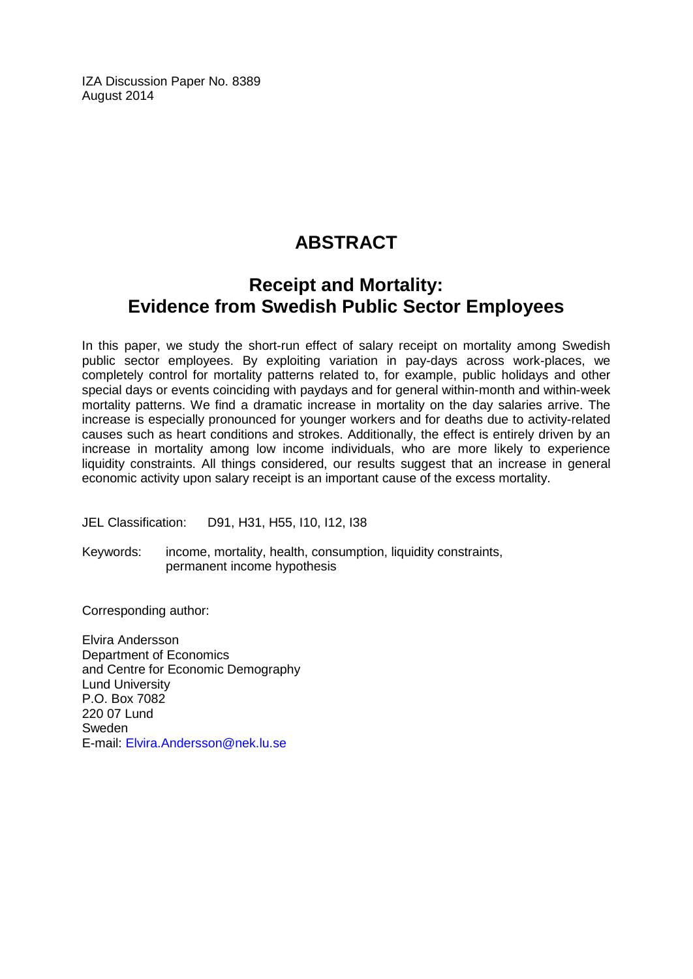IZA Discussion Paper No. 8389 August 2014

### **ABSTRACT**

### **Receipt and Mortality: Evidence from Swedish Public Sector Employees**

In this paper, we study the short-run effect of salary receipt on mortality among Swedish public sector employees. By exploiting variation in pay-days across work-places, we completely control for mortality patterns related to, for example, public holidays and other special days or events coinciding with paydays and for general within-month and within-week mortality patterns. We find a dramatic increase in mortality on the day salaries arrive. The increase is especially pronounced for younger workers and for deaths due to activity-related causes such as heart conditions and strokes. Additionally, the effect is entirely driven by an increase in mortality among low income individuals, who are more likely to experience liquidity constraints. All things considered, our results suggest that an increase in general economic activity upon salary receipt is an important cause of the excess mortality.

JEL Classification: D91, H31, H55, I10, I12, I38

Keywords: income, mortality, health, consumption, liquidity constraints, permanent income hypothesis

Corresponding author:

Elvira Andersson Department of Economics and Centre for Economic Demography Lund University P.O. Box 7082 220 07 Lund Sweden E-mail: [Elvira.Andersson@nek.lu.se](mailto:Elvira.Andersson@nek.lu.se)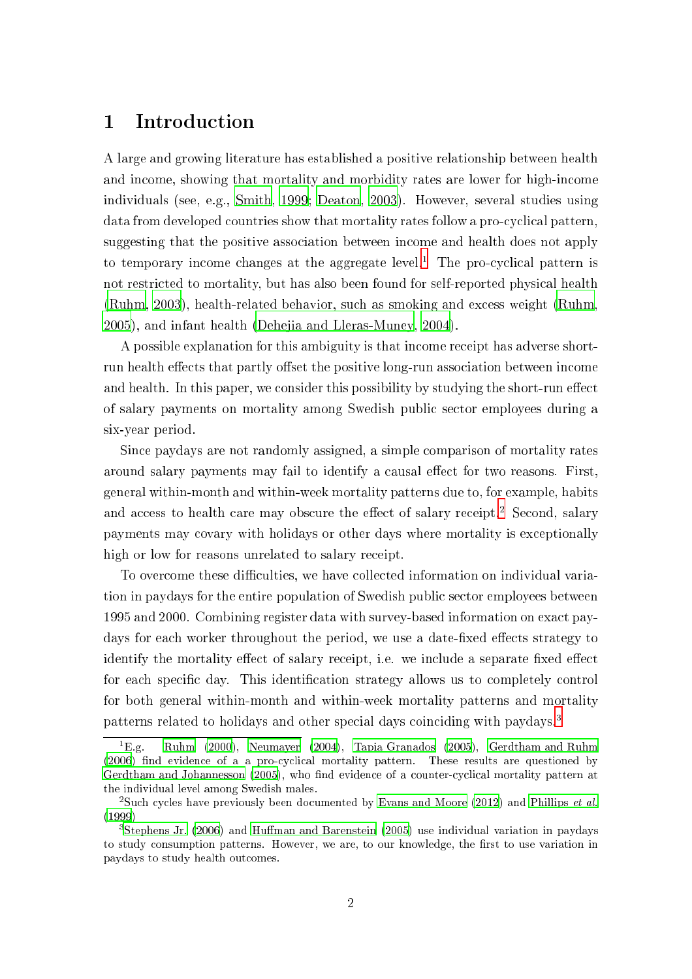### 1 Introduction

A large and growing literature has established a positive relationship between health and income, showing that mortality and morbidity rates are lower for high-income individuals (see, e.g., [Smith,](#page-26-0) [1999;](#page-26-0) [Deaton](#page-24-0), [2003\)](#page-24-0). However, several studies using data from developed countries show that mortality rates follow a pro-cyclical pattern, suggesting that the positive asso
iation between in
ome and health does not apply to temporary income changes at the aggregate level. The pro-cyclical pattern is not restricted to mortality, but has also been found for self-reported physical health [\(Ruhm,](#page-26-2) [2003\)](#page-26-1), health-related behavior, such as smoking and excess weight (Ruhm, [2005\)](#page-26-2), and infant health (Dehejia and [Lleras-Muney,](#page-24-1) [2004\)](#page-24-1).

A possible explanation for this ambiguity is that in
ome re
eipt has adverse shortrun health effects that partly offset the positive long-run association between income and health. In this paper, we consider this possibility by studying the short-run effect of salary payments on mortality among Swedish public sector employees during a six-year period.

Sin
e paydays are not randomly assigned, a simple omparison of mortality rates around salary payments may fail to identify a causal effect for two reasons. First, general within-month and within-week mortality patterns due to, for example, habits and access to health care may obscure the effect of salary receipt." Second, salary payments may ovary with holidays or other days where mortality is ex
eptionally high or low for reasons unrelated to salary receipt.

To overcome these difficulties, we have collected information on individual variation in paydays for the entire population of Swedish public sector employees between 1995 and 2000. Combining register data with survey-based information on exa
t paydays for each worker throughout the period, we use a date-fixed effects strategy to identify the mortality effect of salary receipt, i.e. we include a separate fixed effect for each specific day. This identification strategy allows us to completely control for both general within-month and within-week mortality patterns and mortality patterns related to holidays and other special days coinciding with paydays.<sup>3</sup>

 ${}^{1}E.$   $\sigma$ . E.g. [Ruhm](#page-26-3) [\(2000](#page-26-3)), [Neumayer](#page-25-0) [\(2004](#page-25-0)), Tapia [Granados](#page-27-0) [\(2005](#page-27-0)), [Gerdtham](#page-24-2) and Ruhm [\(2006\)](#page-24-2) find evidence of a a pro-cyclical mortality pattern. These results are questioned by Gerdtham and [Johannesson](#page-24-3) [\(2005\)](#page-24-3), who find evidence of a counter-cyclical mortality pattern at the individual level among Swedish males.

 $\lceil \texttt{S} \rceil$ uch cycles have previously been documented by Evans and [Moore](#page-24-4) [\(2012\)](#page-24-4) and [Phillips](#page-25-1)  $\it{eu}$  al. [\(1999\)](#page-25-1)

<sup>3</sup> [Stephens](#page-26-4) Jr. [\(2006\)](#page-26-4) and Human and [Barenstein](#page-24-5) [\(2005](#page-24-5)) use individual variation in paydays to study consumption patterns. However, we are, to our knowledge, the first to use variation in paydays to study health out
omes.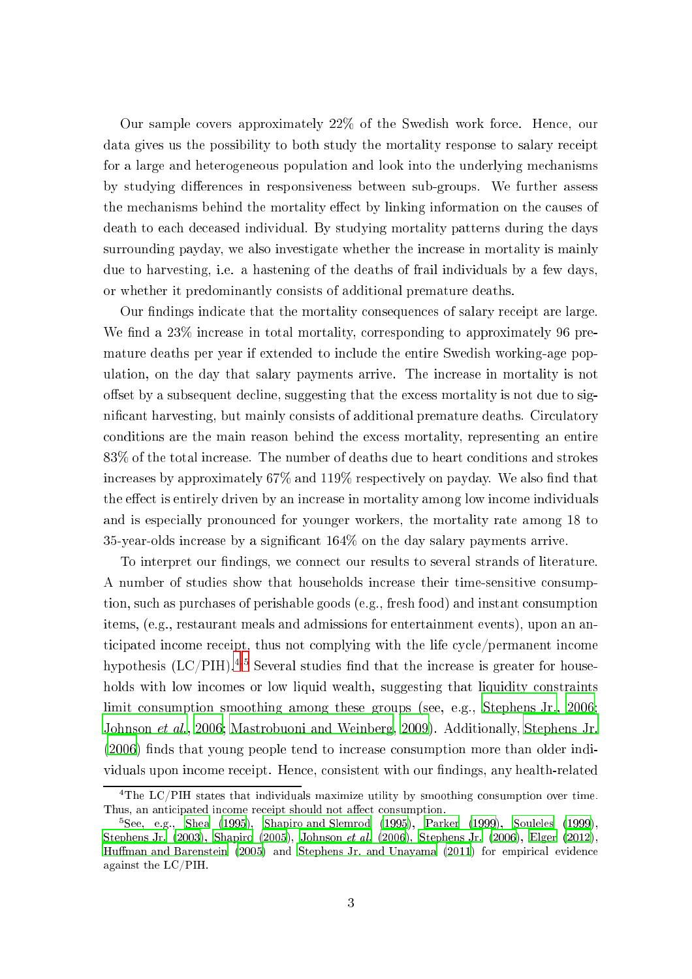Our sample overs approximately 22% of the Swedish work for
e. Hen
e, our data gives us the possibility to both study the mortality response to salary receipt for a large and heterogeneous population and look into the underlying me
hanisms by studying differences in responsiveness between sub-groups. We further assess the mechanisms behind the mortality effect by linking information on the causes of death to each deceased individual. By studying mortality patterns during the days surrounding payday, we also investigate whether the increase in mortality is mainly due to harvesting, i.e. a hastening of the deaths of frail individuals by a few days, or whether it predominantly onsists of additional premature deaths.

Our findings indicate that the mortality consequences of salary receipt are large. We find a  $23\%$  increase in total mortality, corresponding to approximately 96 premature deaths per year if extended to include the entire Swedish working-age population, on the day that salary payments arrive. The increase in mortality is not offset by a subsequent decline, suggesting that the excess mortality is not due to significant harvesting, but mainly consists of additional premature deaths. Circulatory onditions are the main reason behind the ex
ess mortality, representing an entire 83% of the total in
rease. The number of deaths due to heart onditions and strokes increases by approximately  $67\%$  and  $119\%$  respectively on payday. We also find that the effect is entirely driven by an increase in mortality among low income individuals and is especially pronounced for younger workers, the mortality rate among 18 to 35-year-olds in
rease by a signi
ant 164% on the day salary payments arrive.

To interpret our findings, we connect our results to several strands of literature. A number of studies show that households increase their time-sensitive consumption, such as purchases of perishable goods (e.g., fresh food) and instant consumption items, (e.g., restaurant meals and admissions for entertainment events), upon an anticipated income receipt, thus not complying with the life cycle/permanent income hypothesis  $(LC/PIH)$ <sup>4,5</sup> Several studies find that the increase is greater for households with low incomes or low liquid wealth, suggesting that liquidity constraints limit onsumption smoothing among these groups (see, e.g., [Stephens](#page-26-4) Jr., [2006;](#page-26-4) [Johnson](#page-25-2) et al., [2006](#page-25-2); [Mastrobuoni](#page-25-3) and Weinberg, [2009\)](#page-25-3). Additionally, [Stephens](#page-26-4) Jr. [\(2006](#page-26-4)) finds that young people tend to increase consumption more than older individuals upon income receipt. Hence, consistent with our findings, any health-related

The LC/PIH states that individuals maximize utility by smoothing consumption over time. Thus, an anticipated income receipt should not affect consumption.

<sup>5</sup> See, e.g., [Shea](#page-26-5) [\(1995\)](#page-26-5), Shapiro and [Slemrod](#page-26-6) [\(1995\)](#page-26-6), [Parker](#page-25-4) [\(1999](#page-25-4)), [Souleles](#page-26-7) [\(1999\)](#page-26-7), [Stephens](#page-26-8) Jr. [\(2003\)](#page-26-8), [Shapiro](#page-26-9) [\(2005](#page-26-9)), [Johnson](#page-25-2) et al. [\(2006\)](#page-25-2), [Stephens](#page-26-4) Jr. [\(2006\)](#page-26-4), [Elger](#page-24-6) [\(2012\)](#page-24-6), Huffman and [Barenstein](#page-24-5) [\(2005](#page-24-5)) and Stephens Jr. and [Unayama](#page-27-1) [\(2011\)](#page-27-1) for empirical evidence against the LC/PIH.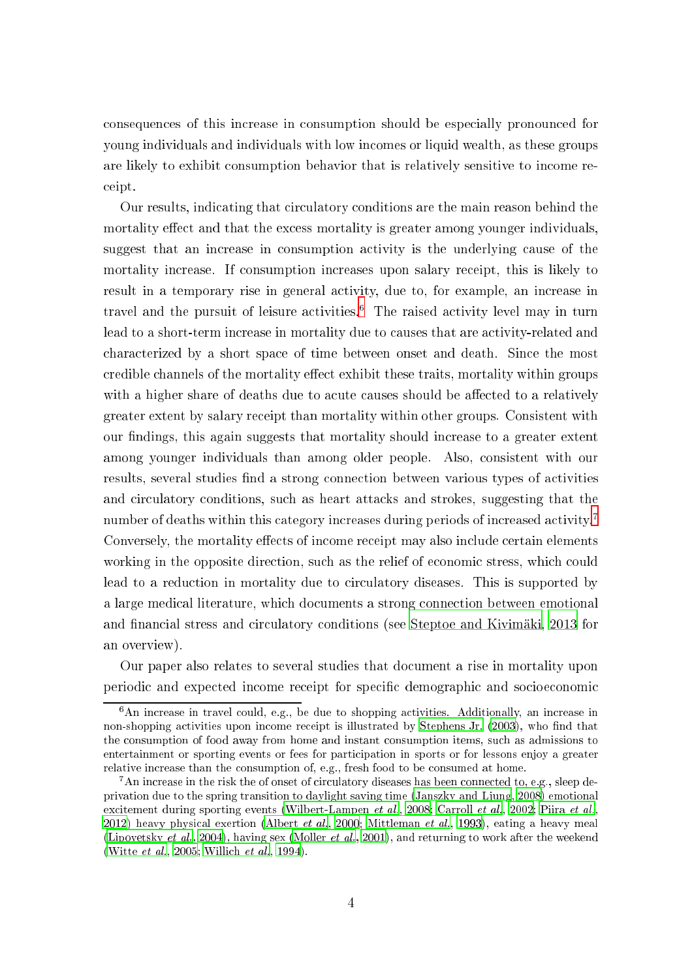onsequen
es of this in
rease in onsumption should be espe
ially pronoun
ed for young individuals and individuals with low in
omes or liquid wealth, as these groups are likely to exhibit onsumption behavior that is relatively sensitive to in
ome re eipt.

Our results, indicating that circulatory conditions are the main reason behind the mortality effect and that the excess mortality is greater among younger individuals, suggest that an increase in consumption activity is the underlying cause of the mortality increase. If consumption increases upon salary receipt, this is likely to result in a temporary rise in general activity, due to, for example, an increase in travel and the pursuit of leisure activities. The raised activity level may in turn lead to a short-term increase in mortality due to causes that are activity-related and characterized by a short space of time between onset and death. Since the most credible channels of the mortality effect exhibit these traits, mortality within groups with a higher share of deaths due to acute causes should be affected to a relatively greater extent by salary re
eipt than mortality within other groups. Consistent with our findings, this again suggests that mortality should increase to a greater extent among younger individuals than among older people. Also, onsistent with our results, several studies find a strong connection between various types of activities and circulatory conditions, such as heart attacks and strokes, suggesting that the number of deaths within this category increases during periods of increased activity.<sup>7</sup> Conversely, the mortality effects of income receipt may also include certain elements working in the opposite direction, such as the relief of economic stress, which could lead to a reduction in mortality due to circulatory diseases. This is supported by a large medical literature, which documents a strong connection between emotional and financial stress and circulatory conditions (see Steptoe and [Kivimäki,](#page-27-2) [2013](#page-27-2) for an overview).

Our paper also relates to several studies that do
ument a rise in mortality upon periodic and expected income receipt for specific demographic and socioeconomic

<sup>&</sup>lt;sup>6</sup>An increase in travel could, e.g., be due to shopping activities. Additionally, an increase in non-shopping activities upon income receipt is illustrated by [Stephens](#page-26-8) Jr. [\(2003\)](#page-26-8), who find that the onsumption of food away from home and instant onsumption items, su
h as admissions to entertainment or sporting events or fees for participation in sports or for lessons enjoy a greater relative in
rease than the onsumption of, e.g., fresh food to be onsumed at home.

<sup>&</sup>lt;sup>7</sup>An increase in the risk the of onset of circulatory diseases has been connected to, e.g., sleep deprivation due to the spring transition to daylight saving time [\(Janszky](#page-25-5) and Ljung, [2008\)](#page-25-5) emotional excitement during sporting events [\(Wilbert-Lampen](#page-27-3) et al., [2008;](#page-27-3) [Carroll](#page-24-7) et al., [2002;](#page-24-7) [Piira](#page-26-10) et al., [2012\)](#page-26-10) heavy physical exertion [\(Albert](#page-24-8) et al., [2000;](#page-24-8) [Mittleman](#page-25-6) et al., [1993\)](#page-25-6), eating a heavy meal [\(Lipovetsky](#page-25-7) et al., [2004](#page-25-7)), having sex [\(Moller](#page-25-8) et al., [2001\)](#page-25-8), and returning to work after the weekend [\(Witte](#page-27-4) et al., [2005;](#page-27-4) [Willi
h](#page-27-5) et al., [1994](#page-27-5)).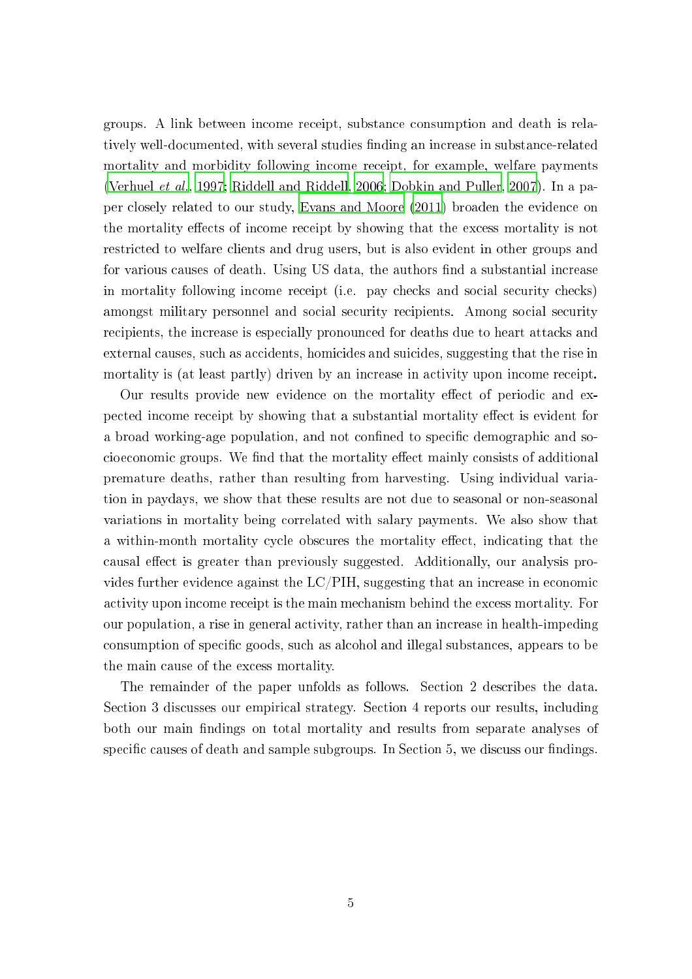groups. A link between in
ome re
eipt, substan
e onsumption and death is relatively well-documented, with several studies finding an increase in substance-related mortality and morbidity following in
ome re
eipt, for example, welfare payments [\(Verhuel](#page-27-6) et al., [1997](#page-27-6); [Riddell](#page-26-11) and Riddell, [2006;](#page-26-11) [Dobkin](#page-24-9) and Puller, [2007](#page-24-9)). In a paper losely related to our study, Evans and [Moore](#page-24-10) [\(2011\)](#page-24-10) broaden the eviden
e on the mortality effects of income receipt by showing that the excess mortality is not restri
ted to welfare lients and drug users, but is also evident in other groups and for various causes of death. Using US data, the authors find a substantial increase in mortality following income receipt (i.e. pay checks and social security checks) amongst military personnel and social security recipients. Among social security recipients, the increase is especially pronounced for deaths due to heart attacks and external causes, such as accidents, homicides and suicides, suggesting that the rise in mortality is (at least partly) driven by an increase in activity upon income receipt.

Our results provide new evidence on the mortality effect of periodic and expected income receipt by showing that a substantial mortality effect is evident for a broad working-age population, and not confined to specific demographic and socioeconomic groups. We find that the mortality effect mainly consists of additional premature deaths, rather than resulting from harvesting. Using individual variation in paydays, we show that these results are not due to seasonal or non-seasonal variations in mortality being orrelated with salary payments. We also show that a within-month mortality cycle obscures the mortality effect, indicating that the causal effect is greater than previously suggested. Additionally, our analysis provides further evidence against the  $LC/PIH$ , suggesting that an increase in economic activity upon income receipt is the main mechanism behind the excess mortality. For our population, a rise in general a
tivity, rather than an in
rease in health-impeding onsumption of spe
i goods, su
h as al
ohol and illegal substan
es, appears to be the main ause of the ex
ess mortality.

The remainder of the paper unfolds as follows. Section 2 describes the data. Section 3 discusses our empirical strategy. Section 4 reports our results, including both our main findings on total mortality and results from separate analyses of specific causes of death and sample subgroups. In Section 5, we discuss our findings.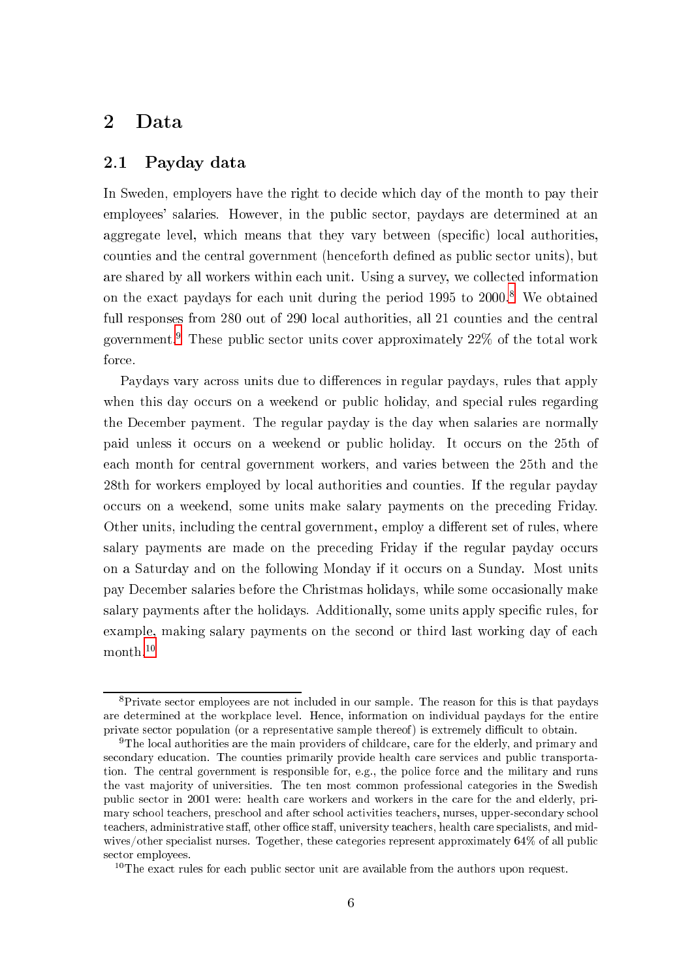### 2.1 Payday data

In Sweden, employers have the right to decide which day of the month to pay their employees' salaries. However, in the public sector, paydays are determined at an aggregate level, which means that they vary between (specific) local authorities, counties and the central government (henceforth defined as public sector units), but are shared by all workers within each unit. Using a survey, we collected information on the exa
t paydays for ea
h unit during the period 1995 to 2000.<sup>8</sup> We obtained full responses from 280 out of 290 local authorities, all 21 counties and the central government. These public sector units cover approximately 22% of the total work force.

Paydays vary across units due to differences in regular paydays, rules that apply when this day occurs on a weekend or public holiday, and special rules regarding the De
ember payment. The regular payday is the day when salaries are normally paid unless it occurs on a weekend or public holiday. It occurs on the 25th of ea
h month for entral government workers, and varies between the 25th and the 28th for workers employed by lo
al authorities and ounties. If the regular payday occurs on a weekend, some units make salary payments on the preceding Friday. Other units, including the central government, employ a different set of rules, where salary payments are made on the preceding Friday if the regular payday occurs on a Saturday and on the following Monday if it occurs on a Sunday. Most units pay December salaries before the Christmas holidays, while some occasionally make salary payments after the holidays. Additionally, some units apply specific rules, for example, making salary payments on the second or third last working day of each month.<sup>10</sup>

<sup>-</sup> Private sector employees are not included in our sample. The reason for this is that paydays are determined at the workpla
e level. Hen
e, information on individual paydays for the entire private sector population (or a representative sample thereof) is extremely difficult to obtain.

<sup>&</sup>lt;sup>9</sup>The local authorities are the main providers of childcare, care for the elderly, and primary and secondary education. The counties primarily provide health care services and public transportation. The central government is responsible for, e.g., the police force and the military and runs the vast ma jority of universities. The ten most ommon professional ategories in the Swedish public sector in 2001 were: health care workers and workers in the care for the and elderly, primary school teachers, preschool and after school activities teachers, nurses, upper-secondary school teachers, administrative staff, other office staff, university teachers, health care specialists, and midwives/other specialist nurses. Together, these categories represent approximately 64% of all public sector employees.

 $10$ The exact rules for each public sector unit are available from the authors upon request.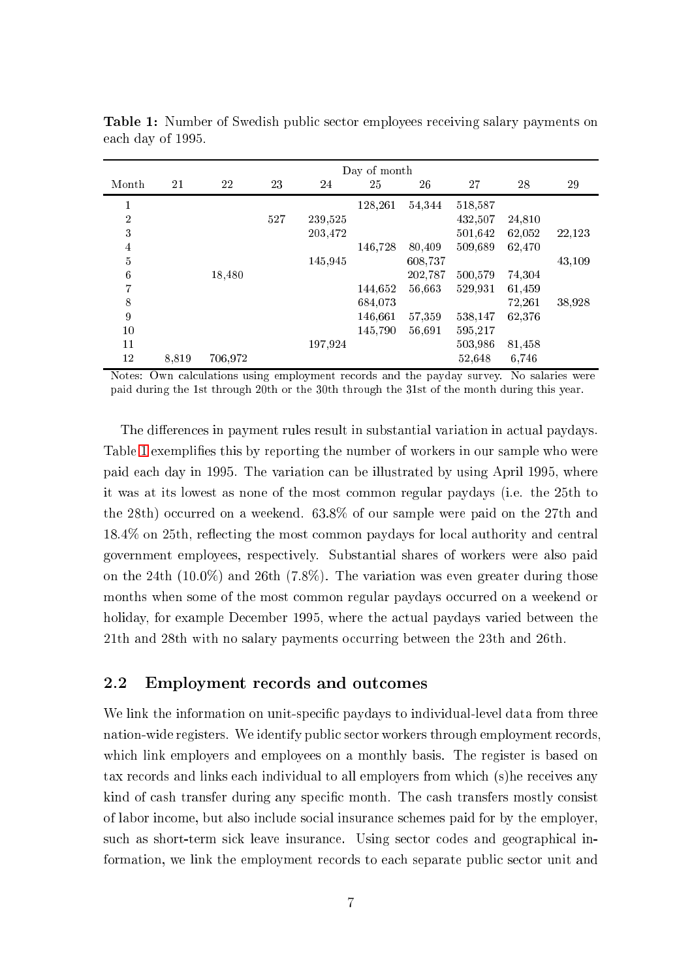|                |       |         |     |         | Day of month |         |         |        |        |
|----------------|-------|---------|-----|---------|--------------|---------|---------|--------|--------|
| Month          | 21    | 22      | 23  | 24      | 25           | 26      | 27      | 28     | 29     |
| т              |       |         |     |         | 128,261      | 54,344  | 518,587 |        |        |
| $\overline{2}$ |       |         | 527 | 239,525 |              |         | 432,507 | 24,810 |        |
| 3              |       |         |     | 203,472 |              |         | 501,642 | 62,052 | 22,123 |
| 4              |       |         |     |         | 146,728      | 80,409  | 509,689 | 62,470 |        |
| 5              |       |         |     | 145,945 |              | 608,737 |         |        | 43,109 |
| $\,6$          |       | 18,480  |     |         |              | 202,787 | 500,579 | 74,304 |        |
| 7              |       |         |     |         | 144,652      | 56,663  | 529,931 | 61,459 |        |
| 8              |       |         |     |         | 684,073      |         |         | 72,261 | 38,928 |
| 9              |       |         |     |         | 146,661      | 57,359  | 538,147 | 62,376 |        |
| 10             |       |         |     |         | 145,790      | 56,691  | 595,217 |        |        |
| 11             |       |         |     | 197,924 |              |         | 503,986 | 81,458 |        |
| 12             | 8,819 | 706,972 |     |         |              |         | 52,648  | 6,746  |        |

<span id="page-8-0"></span>**Table 1:** Number of Swedish public sector employees receiving salary payments on ea
h day of 1995.

Notes: Own calculations using employment records and the payday survey. No salaries were paid during the 1st through 20th or the 30th through the 31st of the month during this year.

The differences in payment rules result in substantial variation in actual paydays. Table [1](#page-8-0) exemplifies this by reporting the number of workers in our sample who were paid ea
h day in 1995. The variation an be illustrated by using April 1995, where it was at its lowest as none of the most ommon regular paydays (i.e. the 25th to the 28th) occurred on a weekend.  $63.8\%$  of our sample were paid on the 27th and 18.4% on 25th, reflecting the most common paydays for local authority and central government employees, respe
tively. Substantial shares of workers were also paid on the 24th (10.0%) and 26th (7.8%). The variation was even greater during those months when some of the most common regular paydays occurred on a weekend or holiday, for example December 1995, where the actual paydays varied between the 21th and 28th with no salary payments occurring between the 23th and 26th.

### 2.2 Employment records and outcomes

We link the information on unit-specific paydays to individual-level data from three nation-wide registers. We identify public sector workers through employment records. which link employers and employees on a monthly basis. The register is based on tax records and links each individual to all employers from which (s) he receives any kind of cash transfer during any specific month. The cash transfers mostly consist of labor in
ome, but also in
lude so
ial insuran
e s
hemes paid for by the employer, such as short-term sick leave insurance. Using sector codes and geographical information, we link the employment records to each separate public sector unit and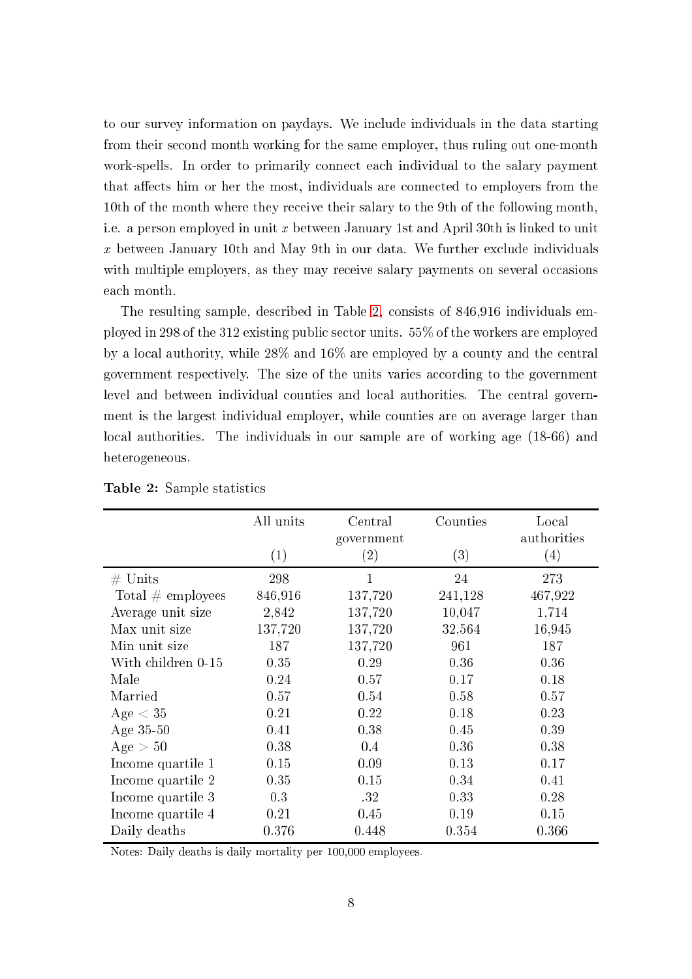to our survey information on paydays. We in
lude individuals in the data starting from their second month working for the same employer, thus ruling out one-month work-spells. In order to primarily connect each individual to the salary payment that affects him or her the most, individuals are connected to employers from the 10th of the month where they re
eive their salary to the 9th of the following month, i.e. a person employed in unit x between January 1st and April 30th is linked to unit x between January 10th and May 9th in our data. We further ex
lude individuals with multiple employers, as they may receive salary payments on several occasions ea
h month.

The resulting sample, des
ribed in Table [2,](#page-9-0) onsists of 846,916 individuals employed in 298 of the 312 existing public sector units. 55% of the workers are employed by a local authority, while  $28\%$  and  $16\%$  are employed by a county and the central government respectively. The size of the units varies according to the government level and between individual ounties and lo
al authorities. The entral government is the largest individual employer, while counties are on average larger than lo
al authorities. The individuals in our sample are of working age (18-66) and heterogeneous.

|                     | All units<br>(1) | Central<br>government<br>$\left( 2\right)$ | Counties<br>(3) | Local<br>authorities<br>(4) |
|---------------------|------------------|--------------------------------------------|-----------------|-----------------------------|
| $\#$ Units          | 298              | 1                                          | 24              | 273                         |
| Total $#$ employees | 846,916          | 137,720                                    | 241,128         | 467,922                     |
| Average unit size   | 2,842            | 137,720                                    | 10,047          | 1,714                       |
| Max unit size       | 137,720          | 137,720                                    | 32,564          | 16,945                      |
| Min unit size       | 187              | 137,720                                    | 961             | 187                         |
| With children 0-15  | 0.35             | 0.29                                       | 0.36            | 0.36                        |
| Male                | 0.24             | 0.57                                       | 0.17            | 0.18                        |
| Married             | 0.57             | 0.54                                       | 0.58            | 0.57                        |
| Age $<$ 35          | 0.21             | 0.22                                       | 0.18            | 0.23                        |
| Age $35-50$         | 0.41             | 0.38                                       | 0.45            | 0.39                        |
| Age $> 50$          | 0.38             | 0.4                                        | 0.36            | 0.38                        |
| Income quartile 1   | 0.15             | 0.09                                       | 0.13            | 0.17                        |
| Income quartile 2   | 0.35             | 0.15                                       | 0.34            | 0.41                        |
| Income quartile 3   | 0.3              | .32                                        | 0.33            | 0.28                        |
| Income quartile 4   | 0.21             | 0.45                                       | 0.19            | 0.15                        |
| Daily deaths        | 0.376            | 0.448                                      | 0.354           | 0.366                       |

<span id="page-9-0"></span>Table 2: Sample statisti
s

Notes: Daily deaths is daily mortality per 100,000 employees.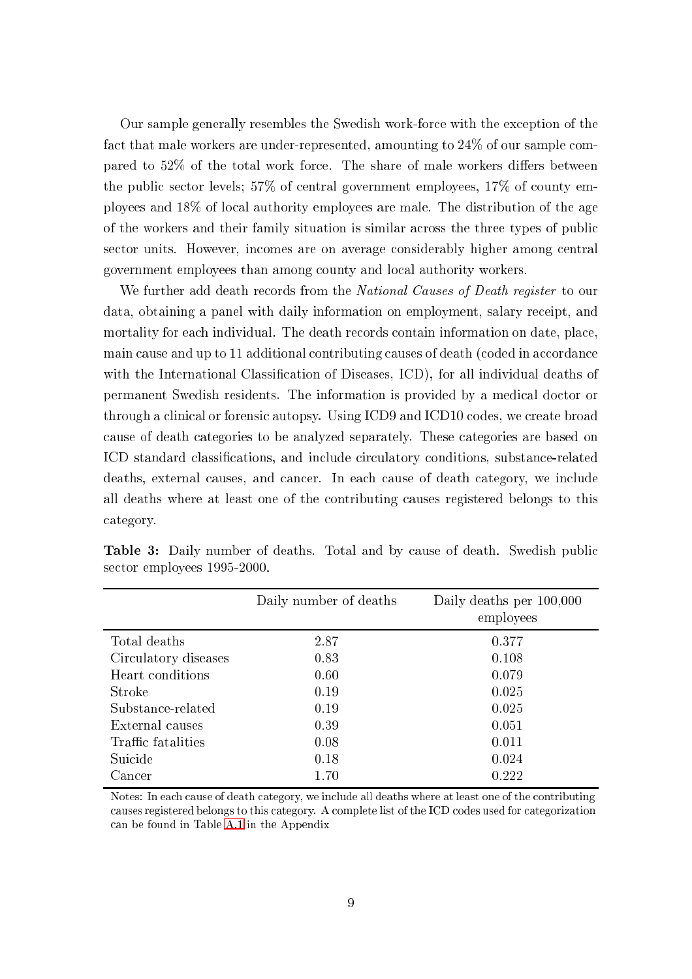Our sample generally resembles the Swedish work-for
e with the ex
eption of the fact that male workers are under-represented, amounting to 24\% of our sample compared to 52% of the total work force. The share of male workers differs between the public sector levels;  $57\%$  of central government employees,  $17\%$  of county employees and 18% of lo
al authority employees are male. The distribution of the age of the workers and their family situation is similar across the three types of public sector units. However, incomes are on average considerably higher among central government employees than among ounty and lo
al authority workers.

We further add death records from the *National Causes of Death register* to our data, obtaining a panel with daily information on employment, salary receipt, and mortality for each individual. The death records contain information on date, place, main cause and up to 11 additional contributing causes of death (coded in accordance with the International Classification of Diseases, ICD), for all individual deaths of permanent Swedish residents. The information is provided by a medi
al do
tor or through a clinical or forensic autopsy. Using ICD9 and ICD10 codes, we create broad ause of death ategories to be analyzed separately. These ategories are based on ICD standard classifications, and include circulatory conditions, substance-related deaths, external causes, and cancer. In each cause of death category, we include all deaths where at least one of the ontributing auses registered belongs to this ategory.

|                      | Daily number of deaths | Daily deaths per 100,000<br>employees |
|----------------------|------------------------|---------------------------------------|
| Total deaths         | 2.87                   | 0.377                                 |
| Circulatory diseases | 0.83                   | 0.108                                 |
| Heart conditions     | 0.60                   | 0.079                                 |
| Stroke               | 0.19                   | 0.025                                 |
| Substance-related    | 0.19                   | 0.025                                 |
| External causes      | 0.39                   | 0.051                                 |
| Traffic fatalities   | 0.08                   | 0.011                                 |
| Suicide              | 0.18                   | 0.024                                 |
| Cancer               | 1.70                   | 0.222                                 |

<span id="page-10-0"></span>**Table 3:** Daily number of deaths. Total and by cause of death. Swedish public sector employees 1995-2000.

Notes: In each cause of death category, we include all deaths where at least one of the contributing causes registered belongs to this category. A complete list of the ICD codes used for categorization an be found in Table [A.1](#page-28-0) in the Appendix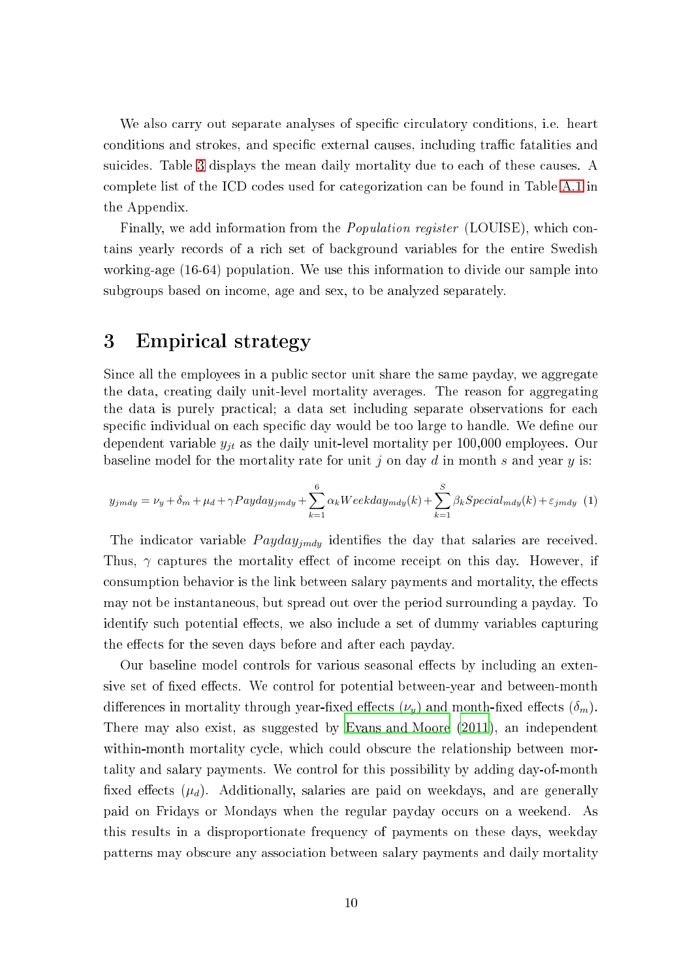We also carry out separate analyses of specific circulatory conditions, i.e. heart conditions and strokes, and specific external causes, including traffic fatalities and suicides. Table [3](#page-10-0) displays the mean daily mortality due to each of these causes. A complete list of the ICD codes used for categorization can be found in Table [A.1](#page-28-0) in the Appendix.

Finally, we add information from the *Population register* (LOUISE), which contains yearly re
ords of a ri
h set of ba
kground variables for the entire Swedish working-age (16-64) population. We use this information to divide our sample into subgroups based on in
ome, age and sex, to be analyzed separately.

### 3 Empiri
al strategy

Since all the employees in a public sector unit share the same payday, we aggregate the data, creating daily unit-level mortality averages. The reason for aggregating the data is purely practical; a data set including separate observations for each specific individual on each specific day would be too large to handle. We define our dependent variable  $y_{jt}$  as the daily unit-level mortality per 100,000 employees. Our baseline model for the mortality rate for unit  $j$  on day  $d$  in month  $s$  and year  $y$  is:

<span id="page-11-0"></span>
$$
y_{jmdy} = \nu_y + \delta_m + \mu_d + \gamma Payday_{jmdy} + \sum_{k=1}^{6} \alpha_k Weekday_{mdy}(k) + \sum_{k=1}^{5} \beta_k Special_{mdy}(k) + \varepsilon_{jmdy} \tag{1}
$$

The indicator variable  $Payday_{\text{imdy}}$  identifies the day that salaries are received. Thus,  $\gamma$  captures the mortality effect of income receipt on this day. However, if consumption behavior is the link between salary payments and mortality, the effects may not be instantaneous, but spread out over the period surrounding a payday. To identify such potential effects, we also include a set of dummy variables capturing the effects for the seven days before and after each payday.

Our baseline model controls for various seasonal effects by including an extensive set of fixed effects. We control for potential between-year and between-month differences in mortalit[y](#page-24-10) through year-fixed effects  $(\nu_y)$  and month-fixed effects  $(\delta_m)$ . There may also exist, as suggested by Evans and Moore [\(2011](#page-24-10)), an independent within-month mortality cycle, which could obscure the relationship between mortality and salary payments. We ontrol for this possibility by adding day-of-month fixed effects  $(\mu_d)$ . Additionally, salaries are paid on weekdays, and are generally paid on Fridays or Mondays when the regular payday occurs on a weekend. As this results in a disproportionate frequen
y of payments on these days, weekday patterns may obs
ure any asso
iation between salary payments and daily mortality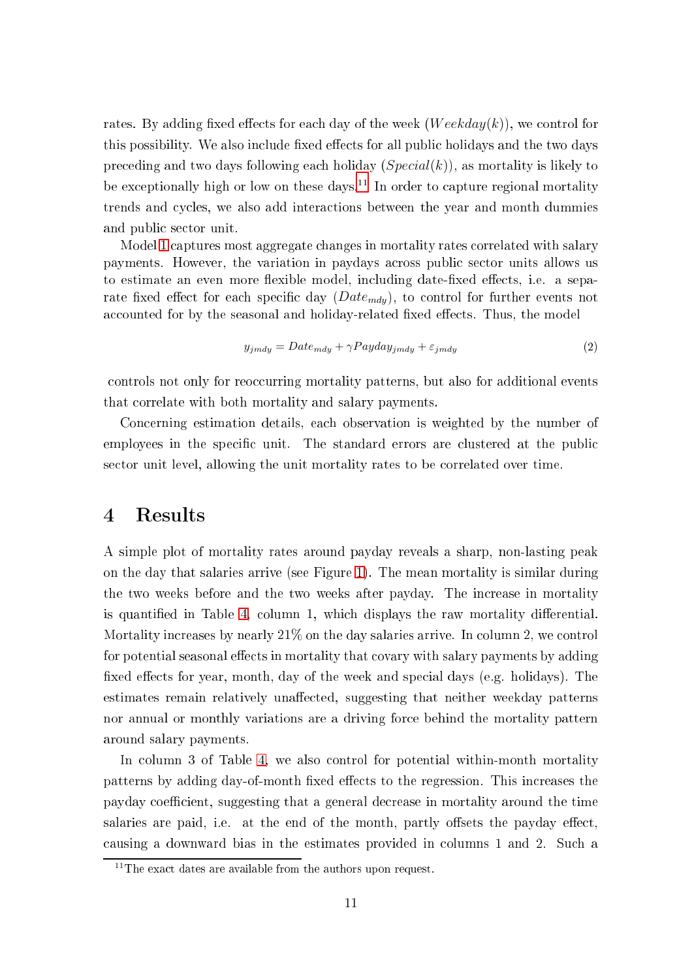rates. By adding fixed effects for each day of the week  $(Weekday(k))$ , we control for this possibility. We also include fixed effects for all public holidays and the two days preceding and two days following each holiday  $(Special(k))$ , as mortality is likely to be exceptionally high or low on these days.<sup>11</sup> In order to capture regional mortality trends and cycles, we also add interactions between the year and month dummies and public sector unit.

Model [1](#page-11-0) captures most aggregate changes in mortality rates correlated with salary payments. However, the variation in paydays across public sector units allows us to estimate an even more flexible model, including date-fixed effects, i.e. a separate fixed effect for each specific day  $(Date_{mdy})$ , to control for further events not accounted for by the seasonal and holiday-related fixed effects. Thus, the model

<span id="page-12-0"></span>
$$
y_{jmdy} = Date_{mdy} + \gamma Payday_{jmdy} + \varepsilon_{jmdy}
$$
\n<sup>(2)</sup>

controls not only for reoccurring mortality patterns, but also for additional events that orrelate with both mortality and salary payments.

Con
erning estimation details, ea
h observation is weighted by the number of employees in the specific unit. The standard errors are clustered at the public sector unit level, allowing the unit mortality rates to be correlated over time.

### 4 Results

A simple plot of mortality rates around payday reveals a sharp, non-lasting peak on the day that salaries arrive (see Figure [1\)](#page-13-0). The mean mortality is similar during the two weeks before and the two weeks after payday. The in
rease in mortality is quantified in Table [4,](#page-14-0) column 1, which displays the raw mortality differential. Mortality increases by nearly  $21\%$  on the day salaries arrive. In column 2, we control for potential seasonal effects in mortality that covary with salary payments by adding fixed effects for year, month, day of the week and special days (e.g. holidays). The estimates remain relatively unaffected, suggesting that neither weekday patterns nor annual or monthly variations are a driving for
e behind the mortality pattern around salary payments.

In column 3 of Table [4,](#page-14-0) we also control for potential within-month mortality patterns by adding day-of-month fixed effects to the regression. This increases the payday coefficient, suggesting that a general decrease in mortality around the time salaries are paid, i.e. at the end of the month, partly offsets the payday effect, causing a downward bias in the estimates provided in columns 1 and 2. Such a

<sup>&</sup>lt;sup>11</sup>The exact dates are available from the authors upon request.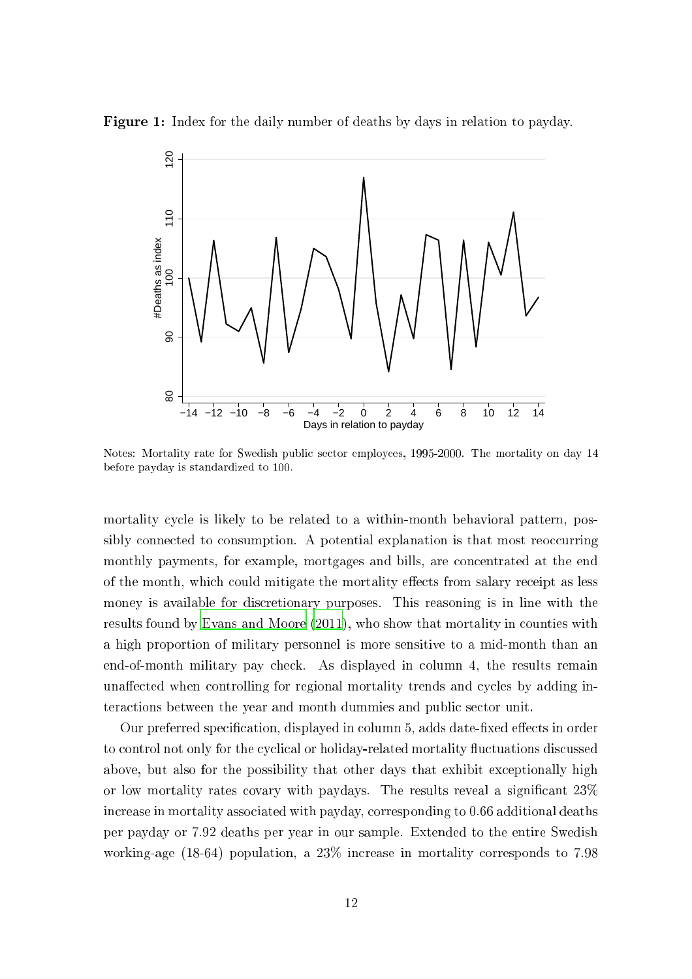<span id="page-13-0"></span>



Notes: Mortality rate for Swedish public sector employees, 1995-2000. The mortality on day 14 before payday is standardized to 100.

mortality cycle is likely to be related to a within-month behavioral pattern, possibly connected to consumption. A potential explanation is that most reoccurring monthly payments, for example, mortgages and bills, are concentrated at the end of the month, which could mitigate the mortality effects from salary receipt as less money is available for discretionary purposes. This reasoning is in line with the results found by Evans and [Moore](#page-24-10) [\(2011](#page-24-10)), who show that mortality in counties with a high proportion of military personnel is more sensitive to a mid-month than an end-of-month military pay he
k. As displayed in olumn 4, the results remain unaffected when controlling for regional mortality trends and cycles by adding interactions between the year and month dummies and public sector unit.

Our preferred specification, displayed in column 5, adds date-fixed effects in order to control not only for the cyclical or holiday-related mortality fluctuations discussed above, but also for the possibility that other days that exhibit ex
eptionally high or low mortality rates covary with paydays. The results reveal a significant 23% increase in mortality associated with payday, corresponding to 0.66 additional deaths per payday or 7.92 deaths per year in our sample. Extended to the entire Swedish working-age (18-64) population, a 23% increase in mortality corresponds to 7.98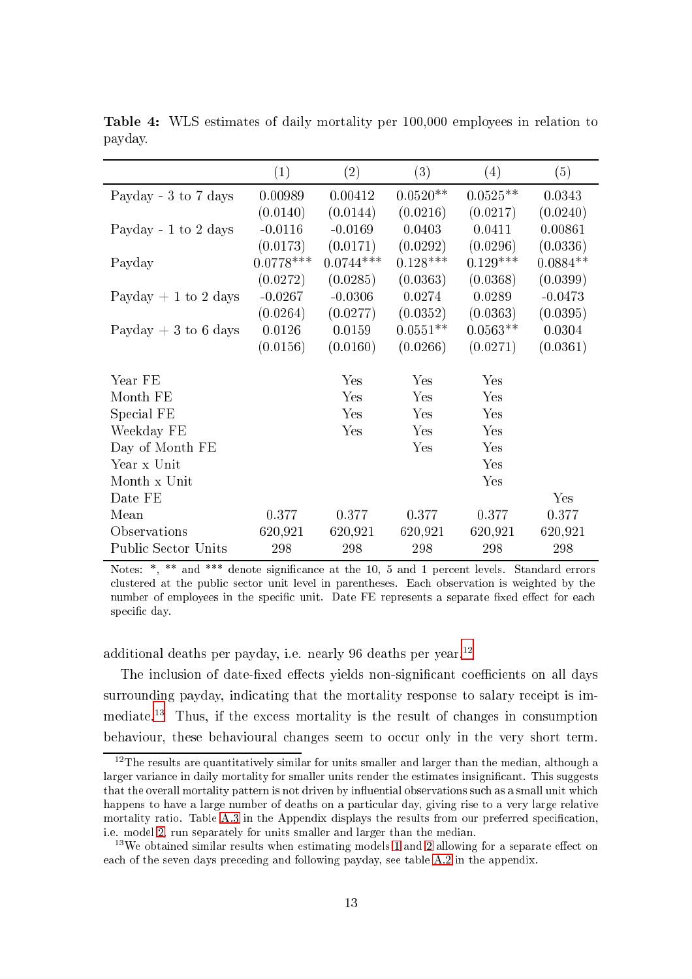|                       | (1)         | (2)         | (3)        | (4)        | (5)        |
|-----------------------|-------------|-------------|------------|------------|------------|
| Payday - 3 to 7 days  | 0.00989     | 0.00412     | $0.0520**$ | $0.0525**$ | 0.0343     |
|                       | (0.0140)    | (0.0144)    | (0.0216)   | (0.0217)   | (0.0240)   |
| Payday - 1 to 2 days  | $-0.0116$   | $-0.0169$   | 0.0403     | 0.0411     | 0.00861    |
|                       | (0.0173)    | (0.0171)    | (0.0292)   | (0.0296)   | (0.0336)   |
| Payday                | $0.0778***$ | $0.0744***$ | $0.128***$ | $0.129***$ | $0.0884**$ |
|                       | (0.0272)    | (0.0285)    | (0.0363)   | (0.0368)   | (0.0399)   |
| Payday $+1$ to 2 days | $-0.0267$   | $-0.0306$   | 0.0274     | 0.0289     | $-0.0473$  |
|                       | (0.0264)    | (0.0277)    | (0.0352)   | (0.0363)   | (0.0395)   |
| Payday $+3$ to 6 days | 0.0126      | 0.0159      | $0.0551**$ | $0.0563**$ | 0.0304     |
|                       | (0.0156)    | (0.0160)    | (0.0266)   | (0.0271)   | (0.0361)   |
|                       |             |             |            |            |            |
| Year FE               |             | Yes         | Yes        | Yes        |            |
| Month FE              |             | Yes         | Yes        | Yes        |            |
| Special FE            |             | Yes         | Yes        | Yes        |            |
| Weekday FE            |             | Yes         | Yes        | Yes        |            |
| Day of Month FE       |             |             | Yes        | Yes        |            |
| Year x Unit           |             |             |            | Yes        |            |
| Month x Unit          |             |             |            | Yes        |            |
| Date FE               |             |             |            |            | Yes        |
| Mean                  | 0.377       | 0.377       | 0.377      | 0.377      | 0.377      |
| Observations          | 620,921     | 620,921     | 620,921    | 620,921    | 620,921    |
| Public Sector Units   | 298         | 298         | 298        | 298        | 298        |

<span id="page-14-0"></span>Table 4: WLS estimates of daily mortality per 100,000 employees in relation to payday.

Notes: \*, \*\* and \*\*\* denote significance at the 10, 5 and 1 percent levels. Standard errors clustered at the public sector unit level in parentheses. Each observation is weighted by the number of employees in the specific unit. Date FE represents a separate fixed effect for each specific day.

additional deaths per payday, i.e. nearly 96 deaths per year.<sup>12</sup>

The inclusion of date-fixed effects yields non-significant coefficients on all days surrounding payday, indicating that the mortality response to salary receipt is immediate.<sup>13</sup> Thus, if the excess mortality is the result of changes in consumption behaviour, these behavioural changes seem to occur only in the very short term.

 $12$ The results are quantitatively similar for units smaller and larger than the median, although a larger variance in daily mortality for smaller units render the estimates insignificant. This suggests that the overall mortality pattern is not driven by influential observations such as a small unit which happens to have a large number of deaths on a particular day, giving rise to a very large relative mortality ratio. Table  $A.3$  in the Appendix displays the results from our preferred specification, i.e. model [2,](#page-12-0) run separately for units smaller and larger than the median.

 $13$  $13$  We obtained similar results when estimating models 1 and [2](#page-12-0) allowing for a separate effect on each of the seven days preceding and following payday, see table [A.2](#page-29-0) in the appendix.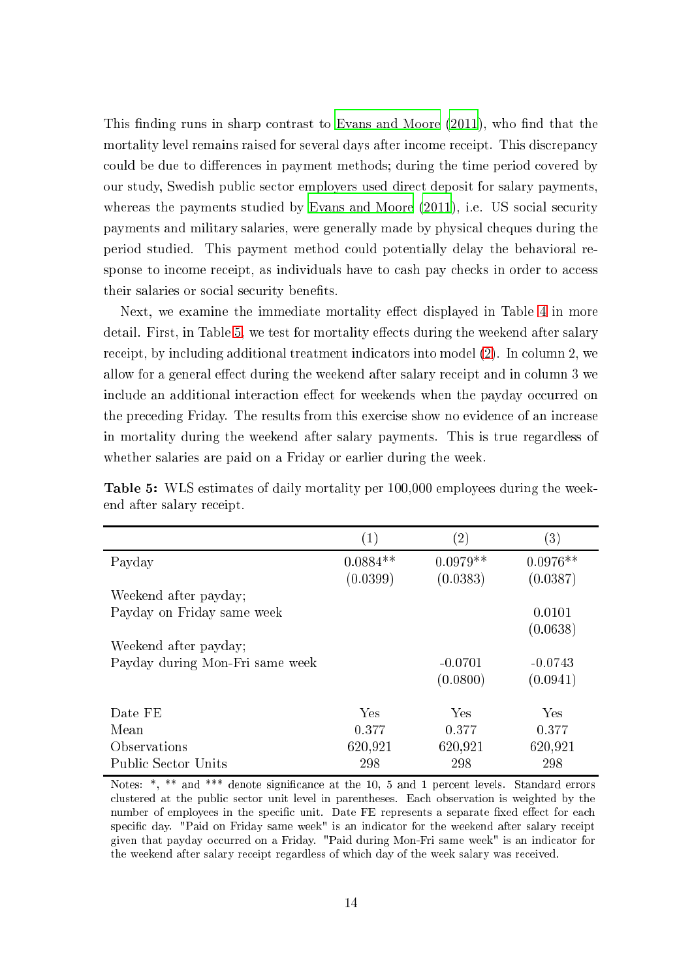This finding runs in sharp contrast to Evans and [Moore](#page-24-10)  $(2011)$ , who find that the mortality level remains raised for several days after income receipt. This discrepancy could be due to differences in payment methods; during the time period covered by our study, Swedish public sector employers used direct deposit for salary payments, whereas the payments studied by Evans and [Moore](#page-24-10)  $(2011)$ , i.e. US social security payments and military salaries, were generally made by physi
al heques during the period studied. This payment method ould potentially delay the behavioral response to income receipt, as individuals have to cash pay checks in order to access their salaries or social security benefits.

Next, we examine the immediate mortality effect displayed in Table [4](#page-14-0) in more detail. First, in Table [5,](#page-15-0) we test for mortality effects during the weekend after salary receipt, by including additional treatment indicators into model [\(2\)](#page-12-0). In column 2, we allow for a general effect during the weekend after salary receipt and in column 3 we include an additional interaction effect for weekends when the payday occurred on the pre
eding Friday. The results from this exer
ise show no eviden
e of an in
rease in mortality during the weekend after salary payments. This is true regardless of whether salaries are paid on a Friday or earlier during the week.

|                                 | $\left( 1\right)$ | $\left( 2\right)$ | (3)        |
|---------------------------------|-------------------|-------------------|------------|
| Payday                          | $0.0884**$        | $0.0979**$        | $0.0976**$ |
|                                 | (0.0399)          | (0.0383)          | (0.0387)   |
| Weekend after payday;           |                   |                   |            |
| Payday on Friday same week      |                   |                   | 0.0101     |
|                                 |                   |                   | (0.0638)   |
| Weekend after payday;           |                   |                   |            |
| Payday during Mon-Fri same week |                   | $-0.0701$         | $-0.0743$  |
|                                 |                   | (0.0800)          | (0.0941)   |
| Date FE                         | Yes               | Yes               | Yes        |
| Mean                            | 0.377             | 0.377             | 0.377      |
| Observations                    | 620,921           | 620,921           | 620,921    |
| Public Sector Units             | 298               | 298               | 298        |

<span id="page-15-0"></span>Table 5: WLS estimates of daily mortality per 100,000 employees during the weekend after salary re
eipt.

Notes: \*, \*\* and \*\*\* denote significance at the 10, 5 and 1 percent levels. Standard errors clustered at the public sector unit level in parentheses. Each observation is weighted by the number of employees in the specific unit. Date FE represents a separate fixed effect for each specific day. "Paid on Friday same week" is an indicator for the weekend after salary receipt given that payday occurred on a Friday. "Paid during Mon-Fri same week" is an indicator for the weekend after salary receipt regardless of which day of the week salary was received.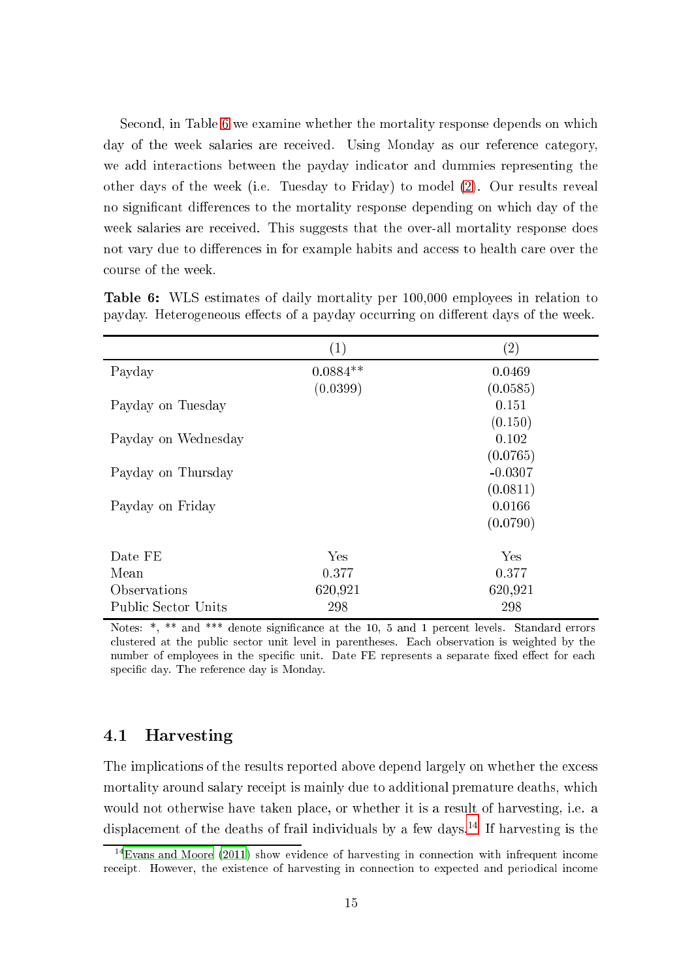Second, in Table [6](#page-16-0) we examine whether the mortality response depends on which day of the week salaries are received. Using Monday as our reference category, we add interactions between the payday indicator and dummies representing the other days of the week (i.e. Tuesday to Friday) to model [\(2\)](#page-12-0). Our results reveal no significant differences to the mortality response depending on which day of the week salaries are re
eived. This suggests that the over-all mortality response does not vary due to differences in for example habits and access to health care over the ourse of the week.

|                     | (1)        | $\left( 2\right)$ |  |
|---------------------|------------|-------------------|--|
| Payday              | $0.0884**$ | 0.0469            |  |
|                     | (0.0399)   | (0.0585)          |  |
| Payday on Tuesday   |            | 0.151             |  |
|                     |            | (0.150)           |  |
| Payday on Wednesday |            | 0.102             |  |
|                     |            | (0.0765)          |  |
| Payday on Thursday  |            | $-0.0307$         |  |
|                     |            | (0.0811)          |  |
| Payday on Friday    |            | 0.0166            |  |
|                     |            | (0.0790)          |  |
|                     |            |                   |  |
| Date FE             | Yes        | Yes               |  |
| Mean                | 0.377      | 0.377             |  |
| Observations        | 620,921    | 620,921           |  |
| Public Sector Units | 298        | 298               |  |

<span id="page-16-0"></span>Table 6: WLS estimates of daily mortality per 100,000 employees in relation to payday. Heterogeneous effects of a payday occurring on different days of the week.

Notes: \*, \*\* and \*\*\* denote significance at the 10, 5 and 1 percent levels. Standard errors clustered at the public sector unit level in parentheses. Each observation is weighted by the number of employees in the specific unit. Date FE represents a separate fixed effect for each specific day. The reference day is Monday.

### 4.1 Harvesting

The implications of the results reported above depend largely on whether the excess mortality around salary receipt is mainly due to additional premature deaths, which would not otherwise have taken pla
e, or whether it is a result of harvesting, i.e. a displacement of the deaths of frail individuals by a few days.<sup>14</sup> If harvesting is the

<sup>&</sup>lt;sup>14</sup>Evans and Moore [\(2011\)](#page-24-10) show evidence of harvesting in connection with infrequent income receipt. However, the existence of harvesting in connection to expected and periodical income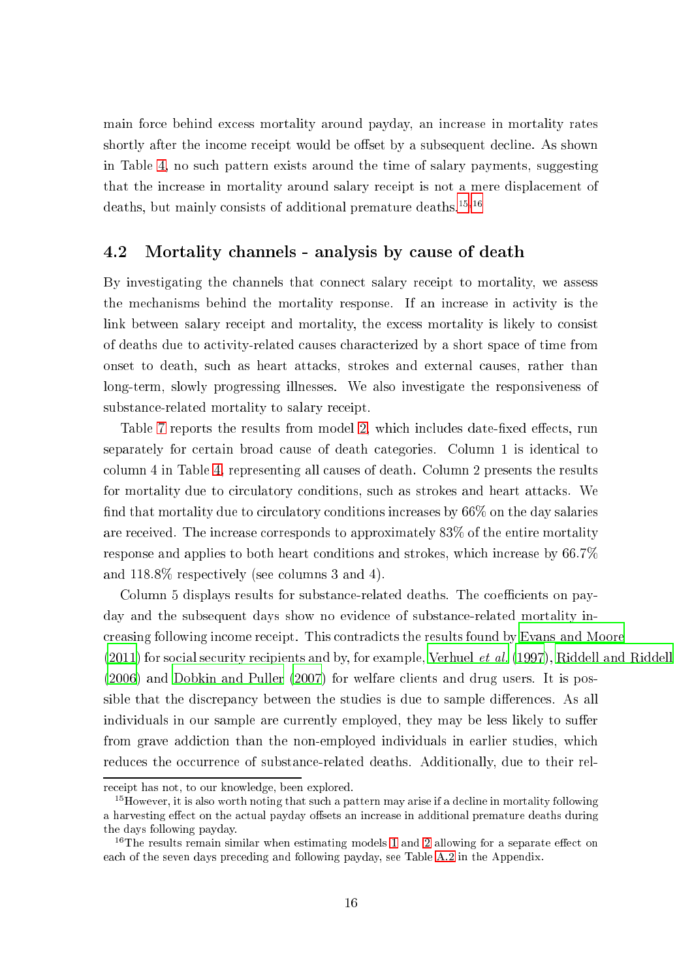main for
e behind ex
ess mortality around payday, an in
rease in mortality rates shortly after the income receipt would be offset by a subsequent decline. As shown in Table [4,](#page-14-0) no su
h pattern exists around the time of salary payments, suggesting that the increase in mortality around salary receipt is not a mere displacement of deaths, but mainly consists of additional premature deaths.<sup>15,16</sup>

### 4.2 Mortality hannels - analysis by ause of death

By investigating the hannels that onne
t salary re
eipt to mortality, we assess the mechanisms behind the mortality response. If an increase in activity is the link between salary receipt and mortality, the excess mortality is likely to consist of deaths due to a
tivity-related auses hara
terized by a short spa
e of time from onset to death, such as heart attacks, strokes and external causes, rather than long-term, slowly progressing illnesses. We also investigate the responsiveness of substance-related mortality to salary receipt.

Table [7](#page-18-0) reports the results from model [2,](#page-12-0) which includes date-fixed effects, run separately for certain broad cause of death categories. Column 1 is identical to column 4 in Table [4,](#page-14-0) representing all causes of death. Column 2 presents the results for mortality due to circulatory conditions, such as strokes and heart attacks. We find that mortality due to circulatory conditions increases by  $66\%$  on the day salaries are received. The increase corresponds to approximately 83% of the entire mortality response and applies to both heart conditions and strokes, which increase by 66.7% and 118.8% respe
tively (see olumns 3 and 4).

Column 5 displays results for substance-related deaths. The coefficients on payday and the subsequent days show no evidence of substance-related mortality inreasing following in
ome re
eipt. This ontradi
ts the results found by Evans and [Moore](#page-24-10)  $(2011)$  for social security recipients and by, for example, [Verhuel](#page-27-6) *et al.* [\(1997\)](#page-27-6), [Riddell](#page-26-11) and Riddell [\(2006\)](#page-26-11) and [Dobkin](#page-24-9) and Puller [\(2007](#page-24-9)) for welfare clients and drug users. It is possible that the discrepancy between the studies is due to sample differences. As all individuals in our sample are currently employed, they may be less likely to suffer from grave addiction than the non-employed individuals in earlier studies, which reduces the occurrence of substance-related deaths. Additionally, due to their rel-

re
eipt has not, to our knowledge, been explored.

<sup>&</sup>lt;sup>15</sup>However, it is also worth noting that such a pattern may arise if a decline in mortality following a harvesting effect on the actual payday offsets an increase in additional premature deaths during the days following payday.

 $16$  $16$ The results remain similar when estimating models 1 and [2](#page-12-0) allowing for a separate effect on ea
h of the seven days pre
eding and following payday, see Table [A.2](#page-29-0) in the Appendix.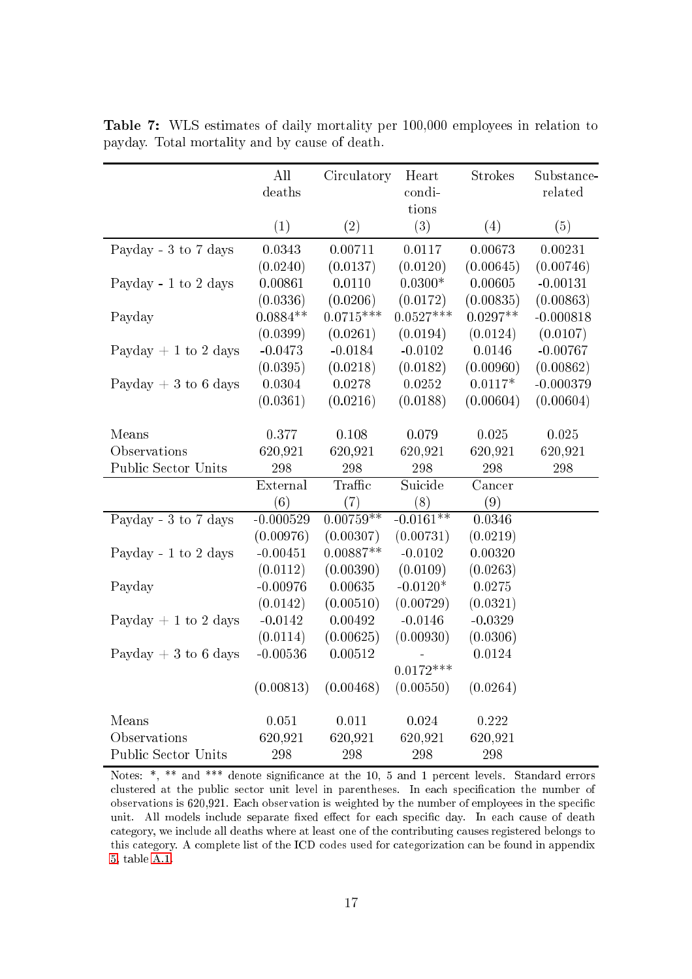|                       | All         | Circulatory | Heart       | <b>Strokes</b> | Substance-  |
|-----------------------|-------------|-------------|-------------|----------------|-------------|
|                       | deaths      |             | condi-      |                | related     |
|                       |             |             | tions       |                |             |
|                       | (1)         | (2)         | (3)         | (4)            | (5)         |
| Payday - 3 to 7 days  | 0.0343      | 0.00711     | 0.0117      | 0.00673        | 0.00231     |
|                       | (0.0240)    | (0.0137)    | (0.0120)    | (0.00645)      | (0.00746)   |
| Payday - 1 to 2 days  | 0.00861     | 0.0110      | $0.0300*$   | 0.00605        | $-0.00131$  |
|                       | (0.0336)    | (0.0206)    | (0.0172)    | (0.00835)      | (0.00863)   |
| Payday                | $0.0884**$  | $0.0715***$ | $0.0527***$ | $0.0297**$     | $-0.000818$ |
|                       | (0.0399)    | (0.0261)    | (0.0194)    | (0.0124)       | (0.0107)    |
| Payday $+1$ to 2 days | $-0.0473$   | $-0.0184$   | $-0.0102$   | 0.0146         | $-0.00767$  |
|                       | (0.0395)    | (0.0218)    | (0.0182)    | (0.00960)      | (0.00862)   |
| Payday $+3$ to 6 days | 0.0304      | 0.0278      | 0.0252      | $0.0117*$      | $-0.000379$ |
|                       | (0.0361)    | (0.0216)    | (0.0188)    | (0.00604)      | (0.00604)   |
|                       |             |             |             |                |             |
| Means                 | 0.377       | 0.108       | 0.079       | 0.025          | 0.025       |
| Observations          | 620,921     | 620,921     | 620,921     | 620,921        | 620,921     |
| Public Sector Units   | 298         | 298         | 298         | 298            | 298         |
|                       | External    | Traffic     | Suicide     | Cancer         |             |
|                       | (6)         | (7)         | (8)         | (9)            |             |
| Payday - 3 to 7 days  | $-0.000529$ | $0.00759**$ | $-0.0161**$ | 0.0346         |             |
|                       | (0.00976)   | (0.00307)   | (0.00731)   | (0.0219)       |             |
| Payday - 1 to 2 days  | $-0.00451$  | $0.00887**$ | $-0.0102$   | 0.00320        |             |
|                       | (0.0112)    | (0.00390)   | (0.0109)    | (0.0263)       |             |
| Payday                | $-0.00976$  | 0.00635     | $-0.0120*$  | 0.0275         |             |
|                       | (0.0142)    | (0.00510)   | (0.00729)   | (0.0321)       |             |
| Payday $+1$ to 2 days | $-0.0142$   | 0.00492     | $-0.0146$   | $-0.0329$      |             |
|                       | (0.0114)    | (0.00625)   | (0.00930)   | (0.0306)       |             |
| Payday $+3$ to 6 days | $-0.00536$  | 0.00512     |             | 0.0124         |             |
|                       |             |             | $0.0172***$ |                |             |
|                       | (0.00813)   | (0.00468)   | (0.00550)   | (0.0264)       |             |
| Means                 | 0.051       | 0.011       | 0.024       | 0.222          |             |
| Observations          | 620,921     | 620,921     | 620,921     | 620,921        |             |
| Public Sector Units   | 298         | 298         | 298         | 298            |             |
|                       |             |             |             |                |             |

<span id="page-18-0"></span>Table 7: WLS estimates of daily mortality per 100,000 employees in relation to payday. Total mortality and by ause of death.

Notes: \*, \*\* and \*\*\* denote significance at the 10, 5 and 1 percent levels. Standard errors clustered at the public sector unit level in parentheses. In each specification the number of observations is 620,921. Each observation is weighted by the number of employees in the specific unit. All models include separate fixed effect for each specific day. In each cause of death ategory, we in
lude all deaths where at least one of the ontributing auses registered belongs to this category. A complete list of the ICD codes used for categorization can be found in appendix [5,](#page-28-1) table [A.1.](#page-28-0)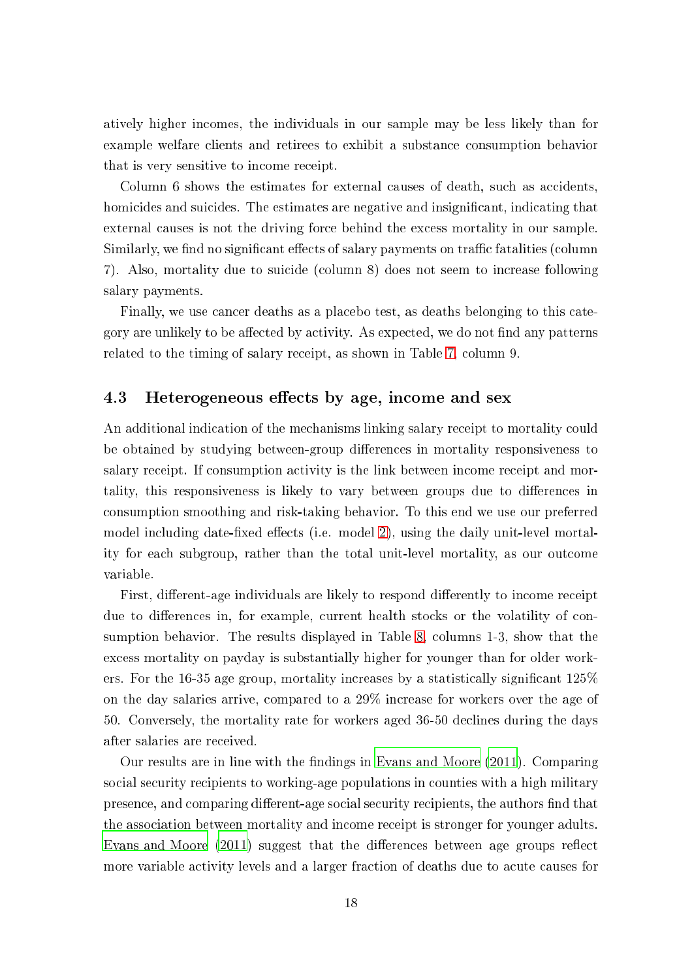atively higher in
omes, the individuals in our sample may be less likely than for example welfare clients and retirees to exhibit a substance consumption behavior that is very sensitive to in
ome re
eipt.

Column 6 shows the estimates for external causes of death, such as accidents, homicides and suicides. The estimates are negative and insignificant, indicating that external auses is not the driving for
e behind the ex
ess mortality in our sample. Similarly, we find no significant effects of salary payments on traffic fatalities (column 7). Also, mortality due to sui
ide (
olumn 8) does not seem to in
rease following salary payments.

Finally, we use cancer deaths as a placebo test, as deaths belonging to this category are unlikely to be affected by activity. As expected, we do not find any patterns related to the timing of salary receipt, as shown in Table [7,](#page-18-0) column 9.

### 4.3 Heterogeneous effects by age, income and sex

An additional indication of the mechanisms linking salary receipt to mortality could be obtained by studying between-group differences in mortality responsiveness to salary receipt. If consumption activity is the link between income receipt and mortality, this responsiveness is likely to vary between groups due to differences in onsumption smoothing and risk-taking behavior. To this end we use our preferred model including date-fixed effects (i.e. model [2\)](#page-12-0), using the daily unit-level mortality for each subgroup, rather than the total unit-level mortality, as our outcome variable.

First, different-age individuals are likely to respond differently to income receipt due to differences in, for example, current health stocks or the volatility of consumption behavior. The results displayed in Table [8,](#page-20-0) olumns 1-3, show that the ex
ess mortality on payday is substantially higher for younger than for older workers. For the  $16-35$  age group, mortality increases by a statistically significant  $125\%$ on the day salaries arrive, ompared to a 29% in
rease for workers over the age of 50. Conversely, the mortality rate for workers aged 36-50 de
lines during the days after salaries are re
eived.

Our results are in line with the findings in Evans and [Moore](#page-24-10)  $(2011)$ . Comparing social security recipients to working-age populations in counties with a high military presence, and comparing different-age social security recipients, the authors find that the asso
iation between mortality and in
ome re
eipt is stronger for younger adults. Evans and [Moore](#page-24-10) [\(2011\)](#page-24-10) suggest that the differences between age groups reflect more variable activity levels and a larger fraction of deaths due to acute causes for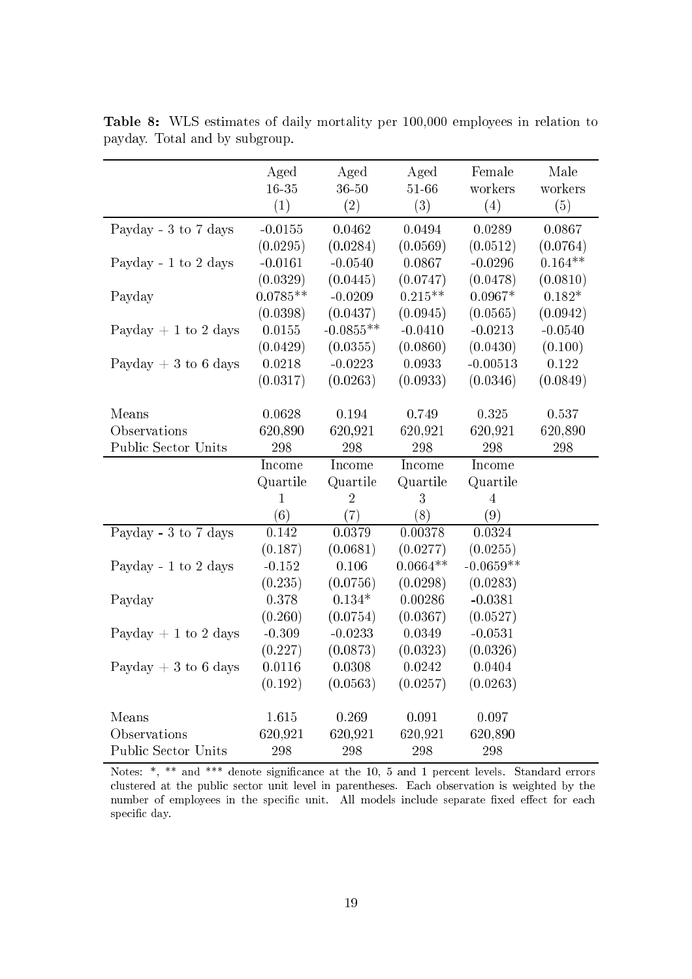|                          | Aged         | Aged           | Aged       | Female         | Male      |
|--------------------------|--------------|----------------|------------|----------------|-----------|
|                          | $16 - 35$    | $36 - 50$      | 51-66      | workers        | workers   |
|                          | (1)          | (2)            | (3)        | (4)            | (5)       |
|                          |              |                |            |                |           |
| Payday - 3 to 7 days     | $-0.0155$    | 0.0462         | 0.0494     | 0.0289         | 0.0867    |
|                          | (0.0295)     | (0.0284)       | (0.0569)   | (0.0512)       | (0.0764)  |
| Payday - 1 to 2 days     | $-0.0161$    | $-0.0540$      | 0.0867     | $-0.0296$      | $0.164**$ |
|                          | (0.0329)     | (0.0445)       | (0.0747)   | (0.0478)       | (0.0810)  |
| Payday                   | $0.0785**$   | $-0.0209$      | $0.215**$  | $0.0967*$      | $0.182*$  |
|                          | (0.0398)     | (0.0437)       | (0.0945)   | (0.0565)       | (0.0942)  |
| Payday $+1$ to 2 days    | 0.0155       | $-0.0855**$    | $-0.0410$  | $-0.0213$      | $-0.0540$ |
|                          | (0.0429)     | (0.0355)       | (0.0860)   | (0.0430)       | (0.100)   |
| Payday $+3$ to 6 days    | 0.0218       | $-0.0223$      | 0.0933     | $-0.00513$     | 0.122     |
|                          | (0.0317)     | (0.0263)       | (0.0933)   | (0.0346)       | (0.0849)  |
|                          |              |                |            |                |           |
| Means                    | 0.0628       | 0.194          | 0.749      | 0.325          | 0.537     |
| Observations             | 620,890      | 620,921        | 620,921    | 620,921        | 620,890   |
| Public Sector Units      | 298          | 298            | 298        | 298            | 298       |
|                          | Income       | Income         | Income     | Income         |           |
|                          | Quartile     | Quartile       | Quartile   | Quartile       |           |
|                          | $\mathbf{1}$ | $\overline{2}$ | 3          | $\overline{4}$ |           |
|                          | (6)          | (7)            | (8)        | (9)            |           |
| Payday - $3$ to $7$ days | 0.142        | 0.0379         | 0.00378    | 0.0324         |           |
|                          | (0.187)      | (0.0681)       | (0.0277)   | (0.0255)       |           |
| Payday - 1 to 2 days     | $-0.152$     | 0.106          | $0.0664**$ | $-0.0659**$    |           |
|                          | (0.235)      | (0.0756)       | (0.0298)   | (0.0283)       |           |
| Payday                   | 0.378        | $0.134*$       | 0.00286    | $-0.0381$      |           |
|                          | (0.260)      | (0.0754)       | (0.0367)   | (0.0527)       |           |
| Payday $+1$ to 2 days    | $-0.309$     | $-0.0233$      | 0.0349     | $-0.0531$      |           |
|                          | (0.227)      | (0.0873)       | (0.0323)   | (0.0326)       |           |
| Payday $+3$ to 6 days    | 0.0116       | 0.0308         | 0.0242     | 0.0404         |           |
|                          | (0.192)      | (0.0563)       | (0.0257)   | (0.0263)       |           |
|                          |              |                |            |                |           |
| Means                    | 1.615        | 0.269          | 0.091      | 0.097          |           |
| Observations             | 620,921      | 620,921        | 620,921    | 620,890        |           |
| Public Sector Units      | 298          | 298            | 298        | 298            |           |

<span id="page-20-0"></span>Table 8: WLS estimates of daily mortality per 100,000 employees in relation to payday. Total and by subgroup.

Notes: \*, \*\* and \*\*\* denote significance at the 10, 5 and 1 percent levels. Standard errors clustered at the public sector unit level in parentheses. Each observation is weighted by the number of employees in the specific unit. All models include separate fixed effect for each specific day.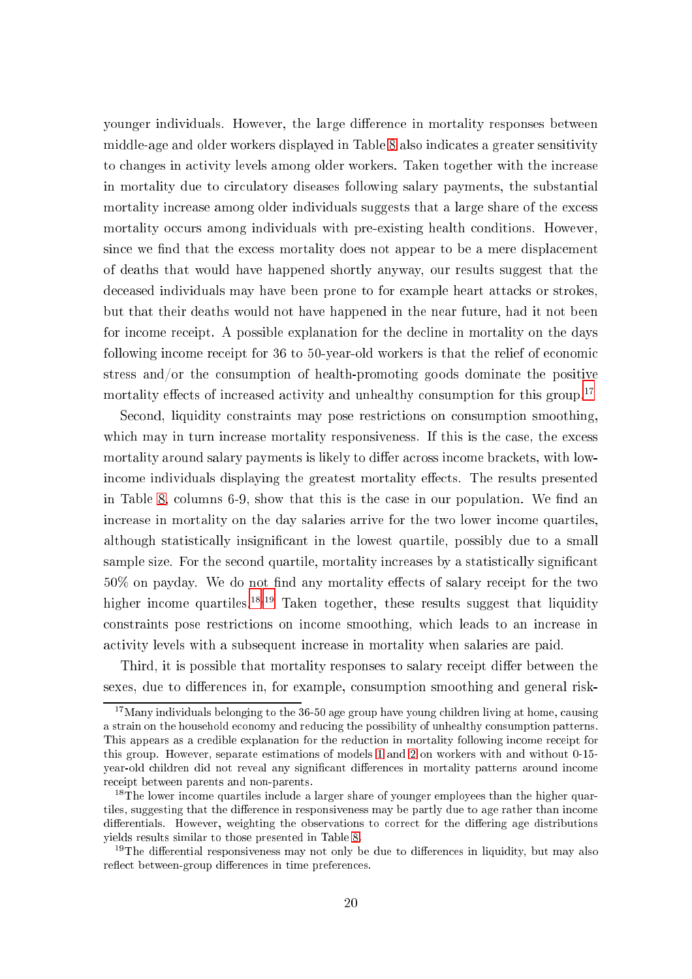younger individuals. However, the large difference in mortality responses between middle-age and older workers displayed in Table [8](#page-20-0) also indicates a greater sensitivity to changes in activity levels among older workers. Taken together with the increase in mortality due to circulatory diseases following salary payments, the substantial mortality increase among older individuals suggests that a large share of the excess mortality occurs among individuals with pre-existing health conditions. However, since we find that the excess mortality does not appear to be a mere displacement of deaths that would have happened shortly anyway, our results suggest that the deceased individuals may have been prone to for example heart attacks or strokes. but that their deaths would not have happened in the near future, had it not been for income receipt. A possible explanation for the decline in mortality on the days following income receipt for 36 to 50-year-old workers is that the relief of economic stress and/or the onsumption of health-promoting goods dominate the positive mortality effects of increased activity and unhealthy consumption for this group.<sup>17</sup>

Second, liquidity constraints may pose restrictions on consumption smoothing, which may in turn increase mortality responsiveness. If this is the case, the excess mortality around salary payments is likely to differ across income brackets, with lowincome individuals displaying the greatest mortality effects. The results presented in Table [8,](#page-20-0) columns 6-9, show that this is the case in our population. We find an increase in mortality on the day salaries arrive for the two lower income quartiles, although statistically insignificant in the lowest quartile, possibly due to a small sample size. For the second quartile, mortality increases by a statistically significant  $50\%$  on payday. We do not find any mortality effects of salary receipt for the two higher income quartiles.<sup>18,19</sup> Taken together, these results suggest that liquidity constraints pose restrictions on income smoothing, which leads to an increase in a
tivity levels with a subsequent in
rease in mortality when salaries are paid.

Third, it is possible that mortality responses to salary receipt differ between the sexes, due to differences in, for example, consumption smoothing and general risk-

<sup>&</sup>lt;sup>17</sup>Many individuals belonging to the  $36-50$  age group have young children living at home, causing a strain on the household e
onomy and redu
ing the possibility of unhealthy onsumption patterns. This appears as a credible explanation for the reduction in mortality following income receipt for this group. However, separate estimations of models [1](#page-11-0) and [2](#page-12-0) on workers with and without 0-15 year-old children did not reveal any significant differences in mortality patterns around income re
eipt between parents and non-parents.

<sup>&</sup>lt;sup>18</sup>The lower income quartiles include a larger share of younger employees than the higher quartiles, suggesting that the difference in responsiveness may be partly due to age rather than income differentials. However, weighting the observations to correct for the differing age distributions yields results similar to those presented in Table [8.](#page-20-0)

<sup>&</sup>lt;sup>19</sup>The differential responsiveness may not only be due to differences in liquidity, but may also reflect between-group differences in time preferences.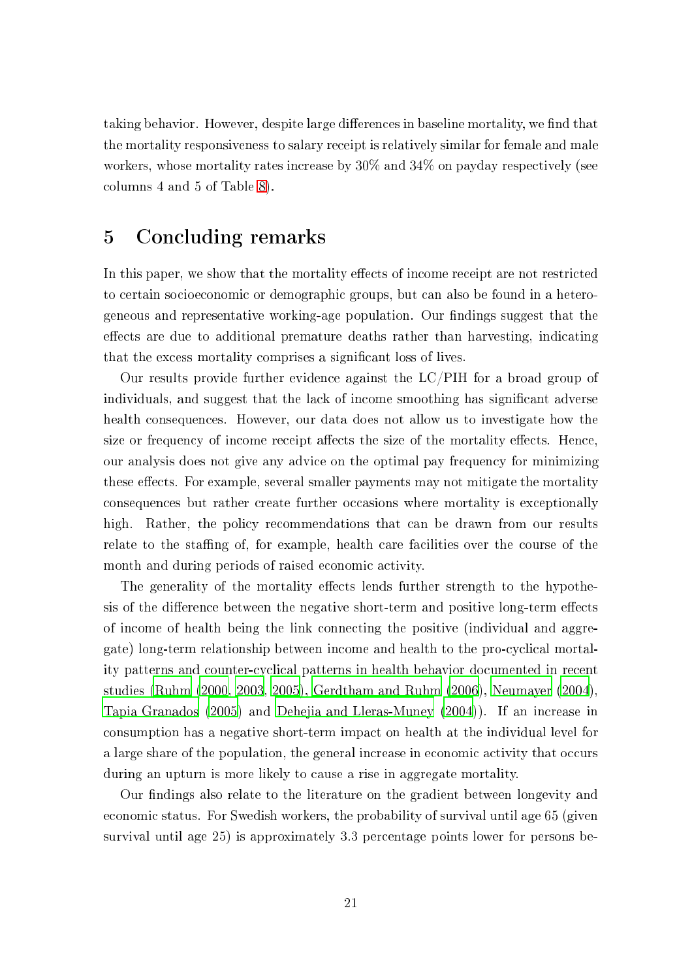taking behavior. However, despite large differences in baseline mortality, we find that the mortality responsiveness to salary re
eipt is relatively similar for female and male workers, whose mortality rates increase by  $30\%$  and  $34\%$  on payday respectively (see olumns 4 and 5 of Table [8\)](#page-20-0).

### 5 Con
luding remarks

In this paper, we show that the mortality effects of income receipt are not restricted to ertain so
ioe
onomi or demographi groups, but an also be found in a heterogeneous and representative working-age population. Our findings suggest that the effects are due to additional premature deaths rather than harvesting, indicating that the excess mortality comprises a significant loss of lives.

Our results provide further eviden
e against the LC/PIH for a broad group of individuals, and suggest that the lack of income smoothing has significant adverse health consequences. However, our data does not allow us to investigate how the size or frequency of income receipt affects the size of the mortality effects. Hence, our analysis does not give any advi
e on the optimal pay frequen
y for minimizing these effects. For example, several smaller payments may not mitigate the mortality consequences but rather create further occasions where mortality is exceptionally high. Rather, the policy recommendations that can be drawn from our results relate to the staffing of, for example, health care facilities over the course of the month and during periods of raised economic activity.

The generality of the mortality effects lends further strength to the hypothesis of the difference between the negative short-term and positive long-term effects of in
ome of health being the link onne
ting the positive (individual and aggregate) long-term relationship between income and health to the pro-cyclical mortality patterns and counter-cyclical patterns in health behavior documented in recent studies [\(Ruhm](#page-26-3) [\(2000](#page-26-3), [2003,](#page-26-1) [2005\)](#page-26-2), [Gerdtham](#page-24-2) and Ruhm [\(2006](#page-24-2)), [Neumayer](#page-25-0) [\(2004\)](#page-25-0), Tapia [Granados](#page-27-0) [\(2005](#page-27-0)) and Dehejia and [Lleras-Muney](#page-24-1) [\(2004](#page-24-1))). If an in
rease in onsumption has a negative short-term impa
t on health at the individual level for a large share of the population, the general increase in economic activity that occurs during an upturn is more likely to cause a rise in aggregate mortality.

Our findings also relate to the literature on the gradient between longevity and economic status. For Swedish workers, the probability of survival until age 65 (given survival until age 25) is approximately 3.3 per
entage points lower for persons be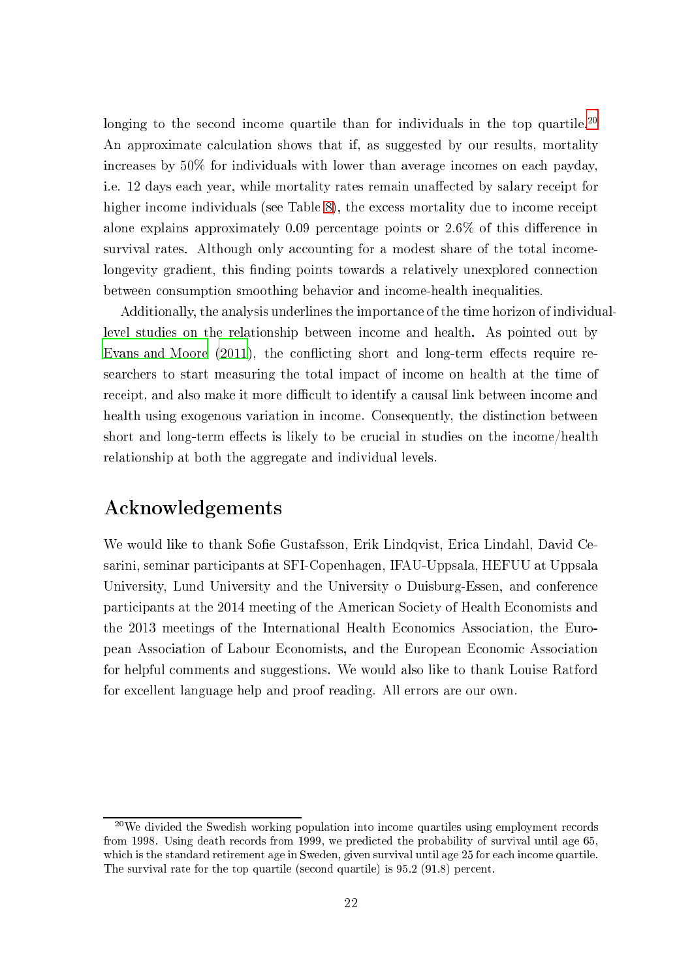longing to the second income quartile than for individuals in the top quartile.<sup>20</sup> An approximate calculation shows that if, as suggested by our results, mortality increases by  $50\%$  for individuals with lower than average incomes on each payday, i.e. 12 days each year, while mortality rates remain unaffected by salary receipt for higher income individuals (see Table [8\)](#page-20-0), the excess mortality due to income receipt alone explains approximately 0.09 percentage points or  $2.6\%$  of this difference in survival rates. Although only accounting for a modest share of the total incomelongevity gradient, this finding points towards a relatively unexplored connection between onsumption smoothing behavior and in
ome-health inequalities.

Additionally, the analysis underlines the importan
e of the time horizon of individuallevel studies on the relationship between in
ome and health. As pointed out by Evans and [Moore](#page-24-10) [\(2011\)](#page-24-10), the conflicting short and long-term effects require researchers to start measuring the total impact of income on health at the time of receipt, and also make it more difficult to identify a causal link between income and health using exogenous variation in income. Consequently, the distinction between short and long-term effects is likely to be crucial in studies on the income/health relationship at both the aggregate and individual levels.

### A
knowledgements

We would like to thank Sofie Gustafsson, Erik Lindqvist, Erica Lindahl, David Cesarini, seminar participants at SFI-Copenhagen, IFAU-Uppsala, HEFUU at Uppsala University, Lund University and the University o Duisburg-Essen, and conference participants at the 2014 meeting of the American Society of Health Economists and the 2013 meetings of the International Health Economics Association, the European Asso
iation of Labour E
onomists, and the European E
onomi Asso
iation for helpful omments and suggestions. We would also like to thank Louise Ratford for ex
ellent language help and proof reading. All errors are our own.

<sup>&</sup>lt;sup>20</sup>We divided the Swedish working population into income quartiles using employment records from 1998. Using death re
ords from 1999, we predi
ted the probability of survival until age 65, which is the standard retirement age in Sweden, given survival until age 25 for each income quartile. The survival rate for the top quartile (second quartile) is 95.2 (91.8) percent.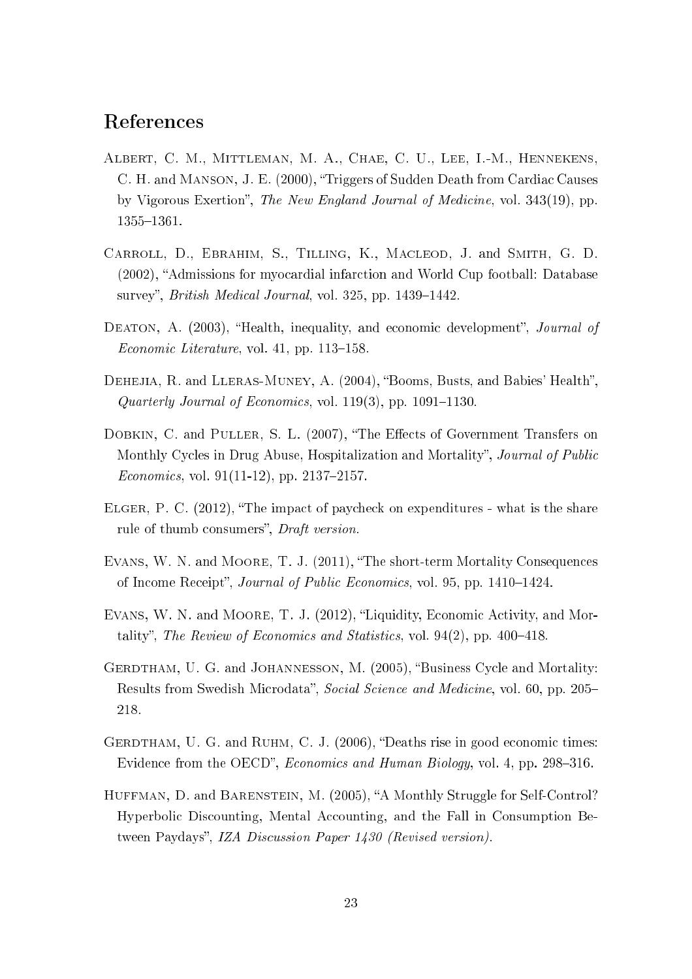### **References**

- <span id="page-24-8"></span>Albert, C. M., Mittleman, M. A., Chae, C. U., Lee, I.-M., Hennekens, C. H. and MANSON, J. E. (2000), "Triggers of Sudden Death from Cardiac Causes by Vigorous Exertion", The New England Journal of Medicine, vol. 343(19), pp. 13551361.
- <span id="page-24-7"></span>CARROLL, D., EBRAHIM, S., TILLING, K., MACLEOD, J. and SMITH, G. D. (2002), "Admissions for myocardial infarction and World Cup football: Database survey", *British Medical Journal*, vol. 325, pp. 1439-1442.
- <span id="page-24-0"></span>DEATON, A. (2003), "Health, inequality, and economic development", Journal of Economic Literature, vol. 41, pp. 113–158.
- <span id="page-24-1"></span>DEHEJIA, R. and LLERAS-MUNEY, A. (2004), "Booms, Busts, and Babies' Health", Quarterly Journal of Economics, vol.  $119(3)$ , pp.  $1091-1130$ .
- <span id="page-24-9"></span>DOBKIN, C. and PULLER, S. L. (2007), "The Effects of Government Transfers on Monthly Cycles in Drug Abuse, Hospitalization and Mortality", Journal of Public  $Economics, vol. 91(11-12), pp. 2137-2157.$
- <span id="page-24-6"></span>ELGER, P. C. (2012), "The impact of paycheck on expenditures - what is the share rule of thumb consumers", Draft version.
- <span id="page-24-10"></span>EVANS, W. N. and MOORE, T. J. (2011), "The short-term Mortality Consequences of Income Receipt", *Journal of Public Economics*, vol. 95, pp. 1410–1424.
- <span id="page-24-4"></span>EVANS, W. N. and MOORE, T. J. (2012), "Liquidity, Economic Activity, and Mortality", The Review of Economics and Statistics, vol.  $94(2)$ , pp.  $400-418$ .
- <span id="page-24-3"></span>GERDTHAM, U. G. and JOHANNESSON, M. (2005), "Business Cycle and Mortality: Results from Swedish Microdata", Social Science and Medicine, vol. 60, pp. 205– 218.
- <span id="page-24-2"></span>GERDTHAM, U. G. and RUHM, C. J. (2006), "Deaths rise in good economic times: Evidence from the OECD", *Economics and Human Biology*, vol. 4, pp. 298–316.
- <span id="page-24-5"></span>HUFFMAN, D. and BARENSTEIN, M. (2005), "A Monthly Struggle for Self-Control? Hyperbolic Discounting, Mental Accounting, and the Fall in Consumption Between Paydays", IZA Discussion Paper 1430 (Revised version).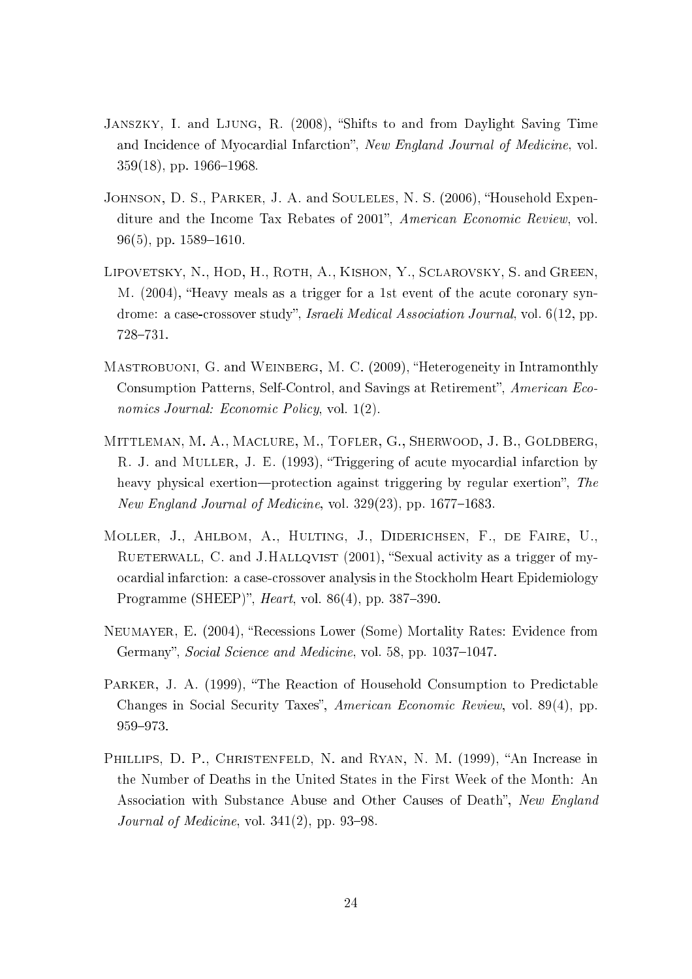- <span id="page-25-5"></span>JANSZKY, I. and LJUNG, R. (2008), "Shifts to and from Daylight Saving Time and Incidence of Myocardial Infarction", New England Journal of Medicine, vol.  $359(18)$ , pp. 1966–1968.
- <span id="page-25-2"></span>JOHNSON, D. S., PARKER, J. A. and SOULELES, N. S. (2006), "Household Expenditure and the Income Tax Rebates of 2001", American Economic Review, vol.  $96(5)$ , pp.  $1589-1610$ .
- <span id="page-25-7"></span>LIPOVETSKY, N., HOD, H., ROTH, A., KISHON, Y., SCLAROVSKY, S. and GREEN, M. (2004), "Heavy meals as a trigger for a 1st event of the acute coronary syndrome: a case-crossover study", Israeli Medical Association Journal, vol. 6(12, pp. 728-731.
- <span id="page-25-3"></span>MASTROBUONI, G. and WEINBERG, M. C. (2009), "Heterogeneity in Intramonthly Consumption Patterns, Self-Control, and Savings at Retirement", American Economics Journal: Economic Policy, vol. 1(2).
- <span id="page-25-6"></span>MITTLEMAN, M. A., MACLURE, M., TOFLER, G., SHERWOOD, J. B., GOLDBERG, R. J. and MULLER, J. E. (1993), "Triggering of acute myocardial infarction by heavy physical exertion—protection against triggering by regular exertion", The New England Journal of Medicine, vol.  $329(23)$ , pp.  $1677-1683$ .
- <span id="page-25-8"></span>MOLLER, J., AHLBOM, A., HULTING, J., DIDERICHSEN, F., DE FAIRE, U., RUETERWALL, C. and J.HALLQVIST (2001), "Sexual activity as a trigger of myocardial infarction: a case-crossover analysis in the Stockholm Heart Epidemiology Programme (SHEEP)",  $Heart$ , vol. 86(4), pp. 387-390.
- <span id="page-25-0"></span>NEUMAYER, E. (2004), "Recessions Lower (Some) Mortality Rates: Evidence from Germany", Social Science and Medicine, vol. 58, pp. 1037–1047.
- <span id="page-25-4"></span>PARKER, J. A. (1999), "The Reaction of Household Consumption to Predictable Changes in Social Security Taxes", American Economic Review, vol. 89(4), pp. 959-973.
- <span id="page-25-1"></span>PHILLIPS, D. P., CHRISTENFELD, N. and RYAN, N. M. (1999), "An Increase in the Number of Deaths in the United States in the First Week of the Month: An Association with Substance Abuse and Other Causes of Death", New England Journal of Medicine, vol.  $341(2)$ , pp.  $93-98$ .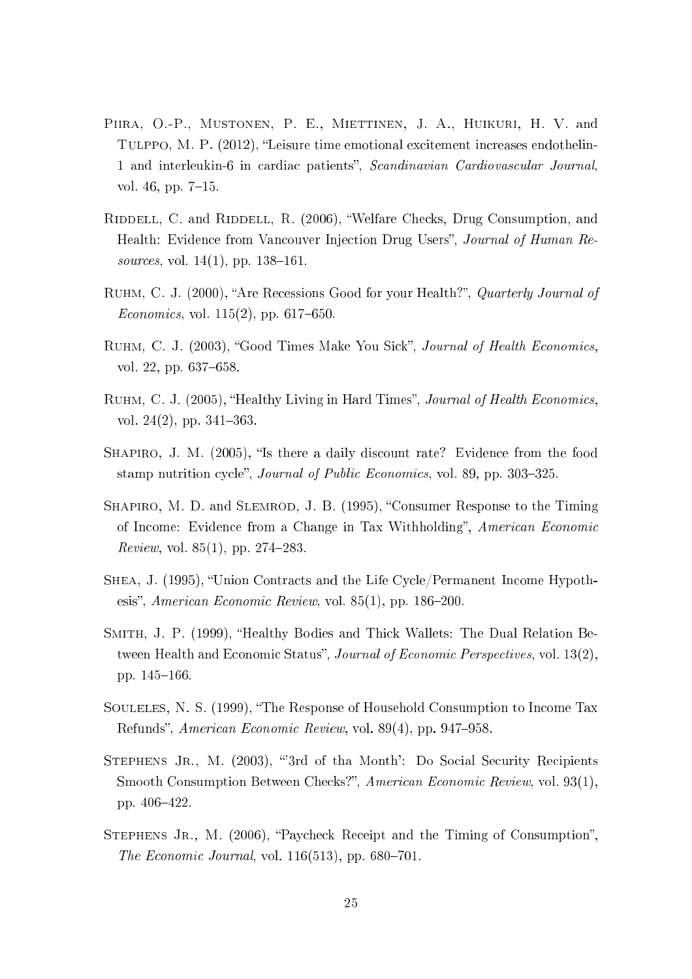- <span id="page-26-10"></span>PIIRA, O.-P., MUSTONEN, P. E., MIETTINEN, J. A., HUIKURI, H. V. and TULPPO, M. P. (2012), "Leisure time emotional excitement increases endothelin-1 and interleukin-6 in cardiac patients", Scandinavian Cardiovascular Journal, vol. 46, pp.  $7-15$ .
- <span id="page-26-11"></span>RIDDELL, C. and RIDDELL, R. (2006), "Welfare Checks, Drug Consumption, and Health: Evidence from Vancouver Injection Drug Users", Journal of Human Resources, vol.  $14(1)$ , pp.  $138-161$ .
- <span id="page-26-3"></span>RUHM, C. J. (2000), "Are Recessions Good for your Health?", Quarterly Journal of  $Economics, vol. 115(2), pp. 617-650.$
- <span id="page-26-1"></span>RUHM, C. J. (2003), "Good Times Make You Sick", *Journal of Health Economics*, vol. 22, pp. 637–658.
- <span id="page-26-2"></span>RUHM, C. J. (2005), "Healthy Living in Hard Times", Journal of Health Economics, vol. 24 $(2)$ , pp. 341-363.
- <span id="page-26-9"></span>SHAPIRO, J. M.  $(2005)$ , "Is there a daily discount rate? Evidence from the food stamp nutrition cycle", *Journal of Public Economics*, vol. 89, pp. 303–325.
- <span id="page-26-6"></span>SHAPIRO, M. D. and SLEMROD, J. B. (1995), "Consumer Response to the Timing of Income: Evidence from a Change in Tax Withholding", American Economic *Review*, vol.  $85(1)$ , pp. 274–283.
- <span id="page-26-5"></span>SHEA, J. (1995), "Union Contracts and the Life Cycle/Permanent Income Hypothesis", American Economic Review, vol. 85(1), pp.  $186-200$
- <span id="page-26-0"></span>SMITH, J. P. (1999), "Healthy Bodies and Thick Wallets: The Dual Relation Between Health and Economic Status", Journal of Economic Perspectives, vol. 13(2), pp.  $145-166$ .
- <span id="page-26-7"></span>SOULELES, N. S. (1999), "The Response of Household Consumption to Income Tax Refunds", American Economic Review, vol. 89(4), pp. 947–958.
- <span id="page-26-8"></span>STEPHENS JR., M. (2003), "3rd of tha Month': Do Social Security Recipients Smooth Consumption Between Checks?", American Economic Review, vol. 93(1), pp. 406-422.
- <span id="page-26-4"></span>STEPHENS JR., M. (2006), "Paycheck Receipt and the Timing of Consumption", *The Economic Journal*, vol.  $116(513)$ , pp.  $680-701$ .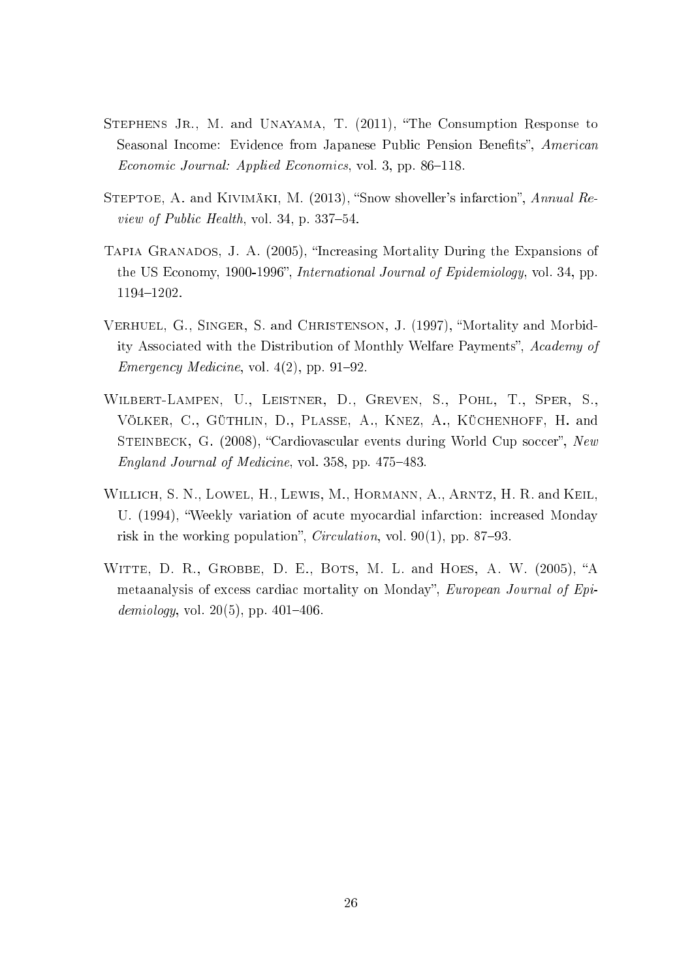- <span id="page-27-1"></span>STEPHENS JR., M. and UNAYAMA, T. (2011), "The Consumption Response to Seasonal Income: Evidence from Japanese Public Pension Benefits", American Economic Journal: Applied Economics, vol. 3, pp. 86–118.
- <span id="page-27-2"></span>STEPTOE, A. and KIVIMÄKI, M.  $(2013)$ , "Snow shoveller's infarction", Annual Re*view of Public Health*, vol. 34, p. 337–54.
- <span id="page-27-0"></span>TAPIA GRANADOS, J. A. (2005), "Increasing Mortality During the Expansions of the US Economy, 1900-1996", International Journal of Epidemiology, vol. 34, pp. 1194-1202.
- <span id="page-27-6"></span>VERHUEL, G., SINGER, S. and CHRISTENSON, J. (1997), "Mortality and Morbidity Associated with the Distribution of Monthly Welfare Payments", Academy of  $Emergency Medicine$ , vol. 4(2), pp. 91–92.
- <span id="page-27-3"></span>Wilbert-Lampen, U., Leistner, D., Greven, S., Pohl, T., Sper, S., VÖLKER, C., GÜTHLIN, D., PLASSE, A., KNEZ, A., KÜCHENHOFF, H. and STEINBECK, G. (2008), "Cardiovascular events during World Cup soccer", New England Journal of Medicine, vol. 358, pp. 475-483.
- <span id="page-27-5"></span>WILLICH, S. N., LOWEL, H., LEWIS, M., HORMANN, A., ARNTZ, H. R. and KEIL, U. (1994), "Weekly variation of acute myocardial infarction: increased Monday risk in the working population", *Circulation*, vol.  $90(1)$ , pp. 87–93.
- <span id="page-27-4"></span>WITTE, D. R., GROBBE, D. E., BOTS, M. L. and HOES, A. W.  $(2005)$ , "A metaanalysis of excess cardiac mortality on Monday", European Journal of Epidemiology, vol. 20(5), pp. 401–406.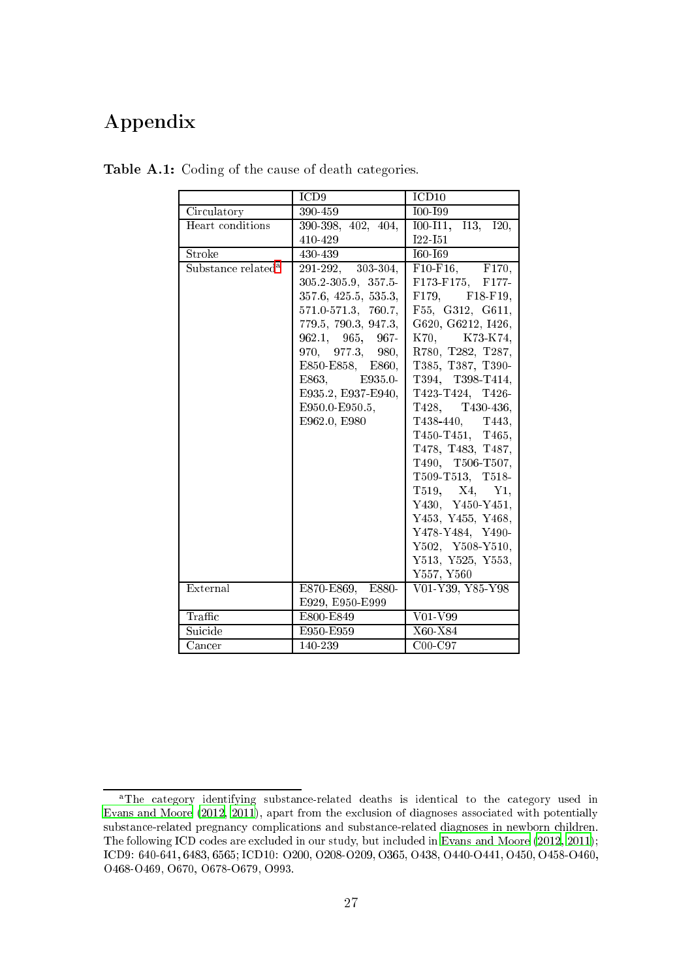## <span id="page-28-1"></span>Appendix

|                                | ICD <sub>9</sub>                | ICD <sub>10</sub>                  |
|--------------------------------|---------------------------------|------------------------------------|
| Circulatory                    | 390-459                         | <b>I00-I99</b>                     |
| Heart conditions               | 390-398, 402, 404,              | $100 - 111, 113, 120,$             |
|                                | 410-429                         | $I22-I51$                          |
| Stroke                         | 430-439                         | $160 - 169$                        |
| Substance related <sup>a</sup> | $\overline{291-292}$ , 303-304, | F10-F16, F170,                     |
|                                | $305.2 - 305.9, 357.5$          | F173-F175, F177-                   |
|                                | 357.6, 425.5, 535.3,            | F179, F18-F19,                     |
|                                | $571.0 - 571.3, 760.7,$         | F55, G312, G611,                   |
|                                | 779.5, 790.3, 947.3,            | G620, G6212, I426,                 |
|                                | 962.1, 965, 967-                | K70, K73-K74,                      |
|                                | 970, 977.3, 980,                | R780, T282, T287,                  |
|                                | E850-E858, E860,                | T385, T387, T390-                  |
|                                | E863, E935.0-                   | T394, T398-T414,                   |
|                                | E935.2, E937-E940,              | T423-T424, T426-                   |
|                                | E950.0-E950.5,                  | T428, T430-436,                    |
|                                | E962.0, E980                    | T438-440, T443,                    |
|                                |                                 | T450-T451, T465,                   |
|                                |                                 | T478, T483, T487,                  |
|                                |                                 | $T490, T506-T507,$                 |
|                                |                                 | T509-T513, T518-                   |
|                                |                                 | T519, X4, Y1,                      |
|                                |                                 | Y430, Y450-Y451,                   |
|                                |                                 | Y453, Y455, Y468,                  |
|                                |                                 | Y478-Y484, Y490-                   |
|                                |                                 | Y502, Y508-Y510,                   |
|                                |                                 | Y513, Y525, Y553,                  |
|                                |                                 | Y557, Y560                         |
| External                       | E870-E869, E880-                | V01-Y39, Y85-Y98                   |
|                                | E929, E950-E999                 |                                    |
| Traffic                        | E800-E849                       | $\overline{\text{V}01-\text{V}99}$ |
| Suicide                        | E950-E959                       | X60-X84                            |
| Cancer                         | 140-239                         | $COO-C97$                          |

<span id="page-28-0"></span>Table A.1: Coding of the cause of death categories.

<sup>&</sup>quot;The category identifying substance-related deaths is identical to the category used in Evans and [Moore](#page-24-4) [\(2012,](#page-24-4) [2011\)](#page-24-10), apart from the ex
lusion of diagnoses asso
iated with potentially substan
e-related pregnan
y ompli
ations and substan
e-related diagnoses in newborn hildren. The following ICD odes are ex
luded in our study, but in
luded in Evans and [Moore](#page-24-4) [\(2012](#page-24-4), [2011\)](#page-24-10); ICD9: 640-641, 6483, 6565; ICD10: O200, O208-O209, O365, O438, O440-O441, O450, O458-O460, O468-O469, O670, O678-O679, O993.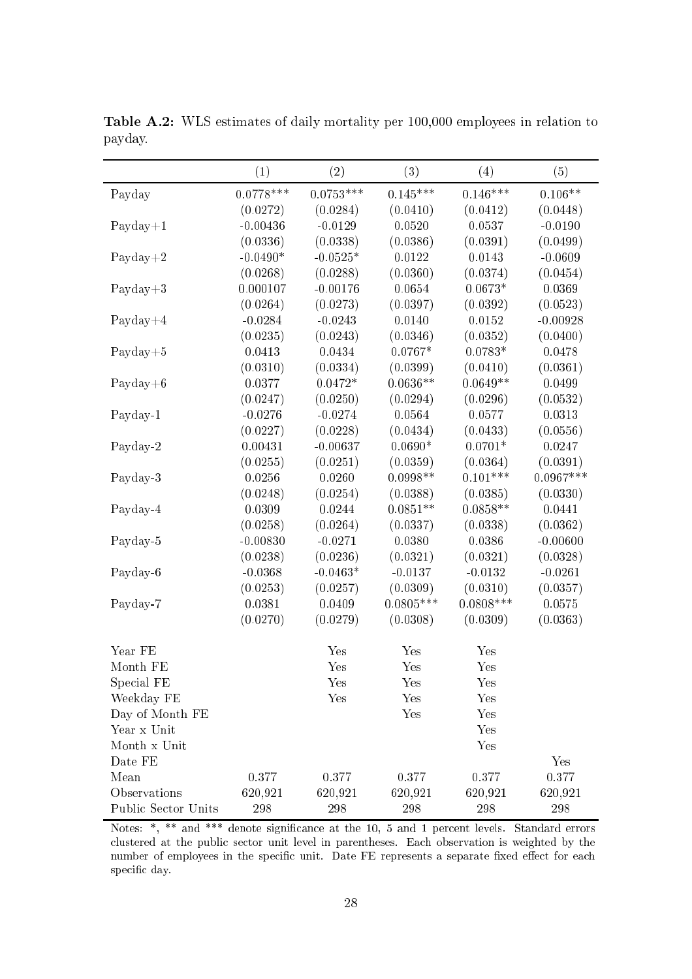|                     | (1)         | (2)         | (3)         | (4)             | (5)         |
|---------------------|-------------|-------------|-------------|-----------------|-------------|
| Payday              | $0.0778***$ | $0.0753***$ | $0.145***$  | $0.146***$      | $0.106**$   |
|                     | (0.0272)    | (0.0284)    | (0.0410)    | (0.0412)        | (0.0448)    |
| $Payday+1$          | $-0.00436$  | $-0.0129$   | 0.0520      | 0.0537          | $-0.0190$   |
|                     | (0.0336)    | (0.0338)    | (0.0386)    | (0.0391)        | (0.0499)    |
| $Payday+2$          | $-0.0490*$  | $-0.0525*$  | 0.0122      | 0.0143          | $-0.0609$   |
|                     | (0.0268)    | (0.0288)    | (0.0360)    | (0.0374)        | (0.0454)    |
| $Payday+3$          | 0.000107    | $-0.00176$  | 0.0654      | $0.0673*$       | 0.0369      |
|                     | (0.0264)    | (0.0273)    | (0.0397)    | (0.0392)        | (0.0523)    |
| $Payday+4$          | $-0.0284$   | $-0.0243$   | 0.0140      | 0.0152          | $-0.00928$  |
|                     | (0.0235)    | (0.0243)    | (0.0346)    | (0.0352)        | (0.0400)    |
| $Payday+5$          | 0.0413      | 0.0434      | $0.0767*$   | $0.0783^{\ast}$ | 0.0478      |
|                     | (0.0310)    | (0.0334)    | (0.0399)    | (0.0410)        | (0.0361)    |
| $Payday+6$          | 0.0377      | $0.0472*$   | $0.0636**$  | $0.0649**$      | 0.0499      |
|                     | (0.0247)    | (0.0250)    | (0.0294)    | (0.0296)        | (0.0532)    |
| Payday-1            | $-0.0276$   | $-0.0274$   | 0.0564      | 0.0577          | 0.0313      |
|                     | (0.0227)    | (0.0228)    | (0.0434)    | (0.0433)        | (0.0556)    |
| Payday-2            | 0.00431     | $-0.00637$  | $0.0690*$   | $0.0701*$       | 0.0247      |
|                     | (0.0255)    | (0.0251)    | (0.0359)    | (0.0364)        | (0.0391)    |
| Payday-3            | 0.0256      | 0.0260      | $0.0998**$  | $0.101***$      | $0.0967***$ |
|                     | (0.0248)    | (0.0254)    | (0.0388)    | (0.0385)        | (0.0330)    |
| Payday-4            | 0.0309      | 0.0244      | $0.0851**$  | $0.0858**$      | 0.0441      |
|                     | (0.0258)    | (0.0264)    | (0.0337)    | (0.0338)        | (0.0362)    |
| Payday-5            | $-0.00830$  | $-0.0271$   | 0.0380      | 0.0386          | $-0.00600$  |
|                     | (0.0238)    | (0.0236)    | (0.0321)    | (0.0321)        | (0.0328)    |
| Payday-6            | $-0.0368$   | $-0.0463*$  | $-0.0137$   | $-0.0132$       | $-0.0261$   |
|                     | (0.0253)    | (0.0257)    | (0.0309)    | (0.0310)        | (0.0357)    |
| Payday-7            | 0.0381      | 0.0409      | $0.0805***$ | $0.0808***$     | 0.0575      |
|                     | (0.0270)    | (0.0279)    | (0.0308)    | (0.0309)        | (0.0363)    |
| Year FE             |             | Yes         | Yes         | Yes             |             |
| Month FE            |             | Yes         | Yes         | Yes             |             |
| Special FE          |             | Yes         | Yes         | Yes             |             |
| Weekday FE          |             | Yes         | Yes         | Yes             |             |
| Day of Month FE     |             |             | Yes         | Yes             |             |
| Year x Unit         |             |             |             | Yes             |             |
| Month x Unit        |             |             |             | Yes             |             |
| Date FE             |             |             |             |                 | Yes         |
| Mean                | $0.377\,$   | $0.377\,$   | 0.377       | 0.377           | 0.377       |
| Observations        | 620,921     | 620,921     | 620,921     | 620,921         | 620,921     |
| Public Sector Units | 298         | 298         | 298         | 298             | 298         |

<span id="page-29-0"></span>Table A.2: WLS estimates of daily mortality per 100,000 employees in relation to payday.

Notes: \*, \*\* and \*\*\* denote significance at the 10, 5 and 1 percent levels. Standard errors clustered at the public sector unit level in parentheses. Each observation is weighted by the number of employees in the specific unit. Date FE represents a separate fixed effect for each specific day.